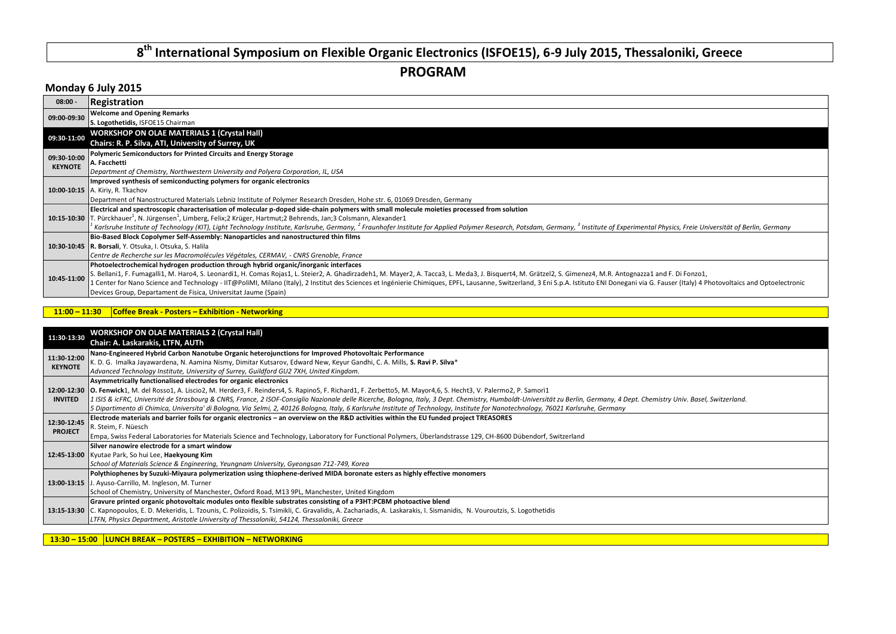# **8 th International Symposium on Flexible Organic Electronics (ISFOE15), 6-9 July 2015, Thessaloniki, Greece**

**PROGRAM**

# **Monday 6 July 2015**

| $08:00 -$      | Registration                                                                                                                                                                                                                                    |
|----------------|-------------------------------------------------------------------------------------------------------------------------------------------------------------------------------------------------------------------------------------------------|
| 09:00-09:30    | <b>Welcome and Opening Remarks</b>                                                                                                                                                                                                              |
|                | S. Logothetidis, ISFOE15 Chairman                                                                                                                                                                                                               |
| 09:30-11:00    | <b>WORKSHOP ON OLAE MATERIALS 1 (Crystal Hall)</b>                                                                                                                                                                                              |
|                | Chairs: R. P. Silva, ATI, University of Surrey, UK                                                                                                                                                                                              |
| 09:30-10:00    | Polymeric Semiconductors for Printed Circuits and Energy Storage                                                                                                                                                                                |
| <b>KEYNOTE</b> | A. Facchetti                                                                                                                                                                                                                                    |
|                | Department of Chemistry, Northwestern University and Polyera Corporation, IL, USA                                                                                                                                                               |
|                | Improved synthesis of semiconducting polymers for organic electronics                                                                                                                                                                           |
|                | 10:00-10:15 A. Kiriy, R. Tkachov                                                                                                                                                                                                                |
|                | Department of Nanostructured Materials Lebniz Institute of Polymer Research Dresden, Hohe str. 6, 01069 Dresden, Germany                                                                                                                        |
|                | Electrical and spectroscopic characterisation of molecular p-doped side-chain polymers with small molecule moieties processed from solution                                                                                                     |
|                | 10:15-10:30 T. Pürckhauer <sup>1</sup> , N. Jürgensen <sup>1</sup> , Limberg, Felix;2 Krüger, Hartmut;2 Behrends, Jan;3 Colsmann, Alexander1                                                                                                    |
|                | Karlsruhe Institute of Technology (KIT), Light Technology Institute, Karlsruhe, Germany, <sup>2</sup> Fraunhofer Institute for Applied Polymer Research, Potsdam, Germany, <sup>3</sup> Institute of Experimental Physics, Freie Universität of |
|                | Bio-Based Block Copolymer Self-Assembly: Nanoparticles and nanostructured thin films                                                                                                                                                            |
|                | 10:30-10:45 R. Borsali, Y. Otsuka, I. Otsuka, S. Halila                                                                                                                                                                                         |
|                | Centre de Recherche sur les Macromolécules Végétales, CERMAV, - CNRS Grenoble, France                                                                                                                                                           |
|                | Photoelectrochemical hydrogen production through hybrid organic/inorganic interfaces                                                                                                                                                            |
| 10:45-11:00    | S. Bellani1, F. Fumagalli1, M. Haro4, S. Leonardi1, H. Comas Rojas1, L. Steier2, A. Ghadirzadeh1, M. Mayer2, A. Tacca3, L. Meda3, J. Bisquert4, M. Grätzel2, S. Gimenez4, M.R. Antognazza1 and F. Di Fonzo1,                                    |
|                | L Center for Nano Science and Technology - IIT@PoliMI, Milano (Italy), 2 Institut des Sciences et Ingénierie Chimiques, EPFL, Lausanne, Switzerland, 3 Eni S.p.A. Istituto ENI Donegani via G. Fauser (Italy) 4 Photovoltaics                   |
|                | Devices Group, Departament de Fisica, Universitat Jaume (Spain)                                                                                                                                                                                 |

#### **11:00 – 11:30 Coffee Break - Posters – Exhibition - Networking**

| 11:30-13:30    | <b>WORKSHOP ON OLAE MATERIALS 2 (Crystal Hall)</b>                                                                                                                                                                          |
|----------------|-----------------------------------------------------------------------------------------------------------------------------------------------------------------------------------------------------------------------------|
|                | Chair: A. Laskarakis, LTFN, AUTh                                                                                                                                                                                            |
| 11:30-12:00    | Nano-Engineered Hybrid Carbon Nanotube Organic heterojunctions for Improved Photovoltaic Performance                                                                                                                        |
| <b>KEYNOTE</b> | K. D. G. Imalka Jayawardena, N. Aamina Nismy, Dimitar Kutsarov, Edward New, Keyur Gandhi, C. A. Mills, S. Ravi P. Silva*                                                                                                    |
|                | Advanced Technology Institute, University of Surrey, Guildford GU2 7XH, United Kingdom.                                                                                                                                     |
|                | Asymmetrically functionalised electrodes for organic electronics                                                                                                                                                            |
|                | 12:00-12:30 O. Fenwick1, M. del Rosso1, A. Liscio2, M. Herder3, F. Reinders4, S. Rapino5, F. Richard1, F. Zerbetto5, M. Mayor4,6, S. Hecht3, V. Palermo2, P. Samorì1                                                        |
| <b>INVITED</b> | 1 ISIS & icFRC, Université de Strasbourg & CNRS, France, 2 ISOF-Consiglio Nazionale delle Ricerche, Bologna, Italy, 3 Dept. Chemistry, Humboldt-Universität zu Berlin, Germany, 4 Dept. Chemistry Univ. Basel, Switzerland. |
|                | 5 Dipartimento di Chimica, Universita' di Bologna, Via Selmi, 2, 40126 Bologna, Italy, 6 Karlsruhe Institute of Technology, Institute for Nanotechnology, 76021 Karlsruhe, Germany                                          |
| 12:30-12:45    | Electrode materials and barrier foils for organic electronics – an overview on the R&D activities within the EU funded project TREASORES                                                                                    |
| <b>PROJECT</b> | R. Steim, F. Nüesch                                                                                                                                                                                                         |
|                | Empa, Swiss Federal Laboratories for Materials Science and Technology, Laboratory for Functional Polymers, Überlandstrasse 129, CH-8600 Dübendorf, Switzerland                                                              |
|                | Silver nanowire electrode for a smart window                                                                                                                                                                                |
|                | 12:45-13:00 Kyutae Park, So hui Lee, Haekyoung Kim                                                                                                                                                                          |
|                | School of Materials Science & Engineering, Yeungnam University, Gyeongsan 712-749, Korea                                                                                                                                    |
|                | Polythiophenes by Suzuki-Miyaura polymerization using thiophene-derived MIDA boronate esters as highly effective monomers                                                                                                   |
|                | 13:00-13:15 J. Ayuso-Carrillo, M. Ingleson, M. Turner                                                                                                                                                                       |
|                | School of Chemistry, University of Manchester, Oxford Road, M13 9PL, Manchester, United Kingdom                                                                                                                             |
|                | Gravure printed organic photovoltaic modules onto flexible substrates consisting of a P3HT:PCBM photoactive blend                                                                                                           |
|                | 13:15-13:30 C. Kapnopoulos, E. D. Mekeridis, L. Tzounis, C. Polizoidis, S. Tsimikli, C. Gravalidis, A. Zachariadis, A. Laskarakis, I. Sismanidis, N. Vouroutzis, S. Logothetidis                                            |
|                | LTFN, Physics Department, Aristotle University of Thessaloniki, 54124, Thessaloniki, Greece                                                                                                                                 |
|                |                                                                                                                                                                                                                             |

**13:30 – 15:00 LUNCH BREAK – POSTERS – EXHIBITION – NETWORKING**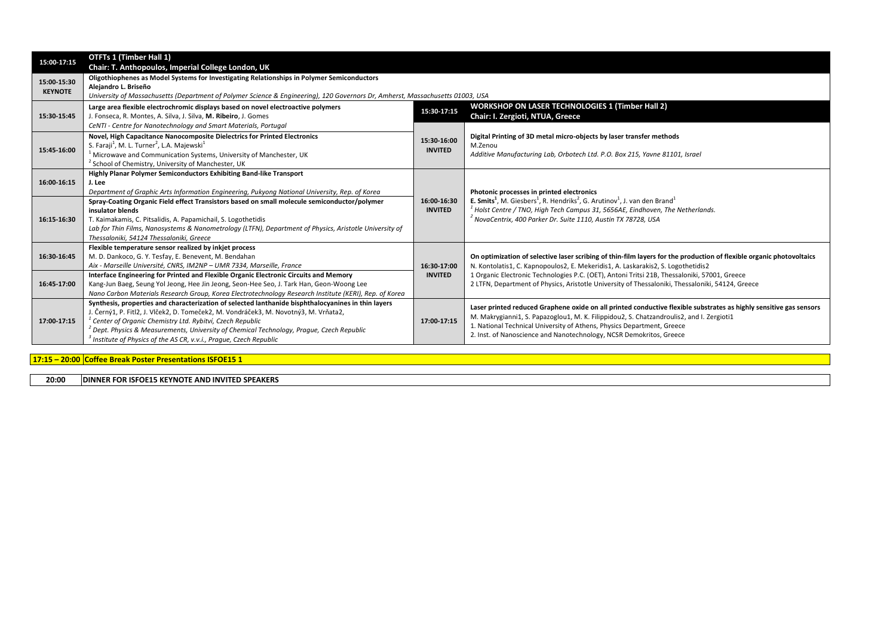| 15:00-17:15                   | OTFTs 1 (Timber Hall 1)                                                                                                                                                                                                                                                                                                                                                                                                                      |                               |                                                                                                                                                                                                                                                                                                                                                                 |
|-------------------------------|----------------------------------------------------------------------------------------------------------------------------------------------------------------------------------------------------------------------------------------------------------------------------------------------------------------------------------------------------------------------------------------------------------------------------------------------|-------------------------------|-----------------------------------------------------------------------------------------------------------------------------------------------------------------------------------------------------------------------------------------------------------------------------------------------------------------------------------------------------------------|
| 15:00-15:30<br><b>KEYNOTE</b> | Chair: T. Anthopoulos, Imperial College London, UK<br>Oligothiophenes as Model Systems for Investigating Relationships in Polymer Semiconductors<br>Alejandro L. Briseño<br>University of Massachusetts (Department of Polymer Science & Engineering), 120 Governors Dr, Amherst, Massachusetts 01003, USA                                                                                                                                   |                               |                                                                                                                                                                                                                                                                                                                                                                 |
| 15:30-15:45                   | Large area flexible electrochromic displays based on novel electroactive polymers<br>J. Fonseca, R. Montes, A. Silva, J. Silva, M. Ribeiro, J. Gomes<br>CeNTI - Centre for Nanotechnology and Smart Materials, Portugal                                                                                                                                                                                                                      | 15:30-17:15                   | <b>WORKSHOP ON LASER TECHNOLOGIES 1 (Timber Hall 2)</b><br>Chair: I. Zergioti, NTUA, Greece                                                                                                                                                                                                                                                                     |
| 15:45-16:00                   | Novel, High Capacitance Nanocomposite Dielectrics for Printed Electronics<br>S. Faraji <sup>1</sup> , M. L. Turner <sup>2</sup> , L.A. Majewski <sup>1</sup><br>Microwave and Communication Systems, University of Manchester, UK<br><sup>2</sup> School of Chemistry, University of Manchester, UK                                                                                                                                          | 15:30-16:00<br><b>INVITED</b> | Digital Printing of 3D metal micro-objects by laser transfer methods<br>M.Zenou<br>Additive Manufacturing Lab, Orbotech Ltd. P.O. Box 215, Yavne 81101, Israel                                                                                                                                                                                                  |
| 16:00-16:15                   | Highly Planar Polymer Semiconductors Exhibiting Band-like Transport<br>J. Lee<br>Department of Graphic Arts Information Engineering, Pukyong National University, Rep. of Korea                                                                                                                                                                                                                                                              | 16:00-16:30<br><b>INVITED</b> | Photonic processes in printed electronics                                                                                                                                                                                                                                                                                                                       |
| 16:15-16:30                   | Spray-Coating Organic Field effect Transistors based on small molecule semiconductor/polymer<br>insulator blends<br>T. Kaimakamis, C. Pitsalidis, A. Papamichail, S. Logothetidis<br>Lab for Thin Films, Nanosystems & Nanometrology (LTFN), Department of Physics, Aristotle University of<br>Thessaloniki, 54124 Thessaloniki, Greece                                                                                                      |                               | <b>E. Smits<sup>1</sup></b> , M. Giesbers <sup>1</sup> , R. Hendriks <sup>2</sup> , G. Arutinov <sup>1</sup> , J. van den Brand <sup>1</sup><br><sup>'</sup> Holst Centre / TNO, High Tech Campus 31, 5656AE, Eindhoven, The Netherlands.<br><sup>2</sup> NovaCentrix, 400 Parker Dr. Suite 1110, Austin TX 78728, USA                                          |
| 16:30-16:45                   | Flexible temperature sensor realized by inkiet process<br>M. D. Dankoco, G. Y. Tesfay, E. Benevent, M. Bendahan<br>Aix - Marseille Université, CNRS, IM2NP - UMR 7334, Marseille, France                                                                                                                                                                                                                                                     | 16:30-17:00<br><b>INVITED</b> | On optimization of selective laser scribing of thin-film layers for the production of flexible organic photovoltaics<br>N. Kontolatis1, C. Kapnopoulos2, E. Mekeridis1, A. Laskarakis2, S. Logothetidis2                                                                                                                                                        |
| 16:45-17:00                   | Interface Engineering for Printed and Flexible Organic Electronic Circuits and Memory<br>Kang-Jun Baeg, Seung Yol Jeong, Hee Jin Jeong, Seon-Hee Seo, J. Tark Han, Geon-Woong Lee<br>Nano Carbon Materials Research Group, Korea Electrotechnology Research Institute (KERI), Rep. of Korea                                                                                                                                                  |                               | 1 Organic Electronic Technologies P.C. (OET), Antoni Tritsi 21B, Thessaloniki, 57001, Greece<br>2 LTFN, Department of Physics, Aristotle University of Thessaloniki, Thessaloniki, 54124, Greece                                                                                                                                                                |
| 17:00-17:15                   | Synthesis, properties and characterization of selected lanthanide bisphthalocyanines in thin layers<br>J. Černý1, P. Fitl2, J. Vlček2, D. Tomeček2, M. Vondráček3, M. Novotný3, M. Vrňata2,<br><sup>1</sup> Center of Organic Chemistry Ltd. Rybitví, Czech Republic<br>$^\ell$ Dept. Physics & Measurements, University of Chemical Technology, Prague, Czech Republic<br>Institute of Physics of the AS CR, v.v.i., Prague, Czech Republic | 17:00-17:15                   | Laser printed reduced Graphene oxide on all printed conductive flexible substrates as highly sensitive gas sensors<br>M. Makrygianni1, S. Papazoglou1, M. K. Filippidou2, S. Chatzandroulis2, and I. Zergioti1<br>1. National Technical University of Athens, Physics Department, Greece<br>2. Inst. of Nanoscience and Nanotechnology, NCSR Demokritos, Greece |

**17:15 – 20:00 Coffee Break Poster Presentations ISFOE15 1**

**20:00 DINNER FOR ISFOE15 KEYNOTE AND INVITED SPEAKERS**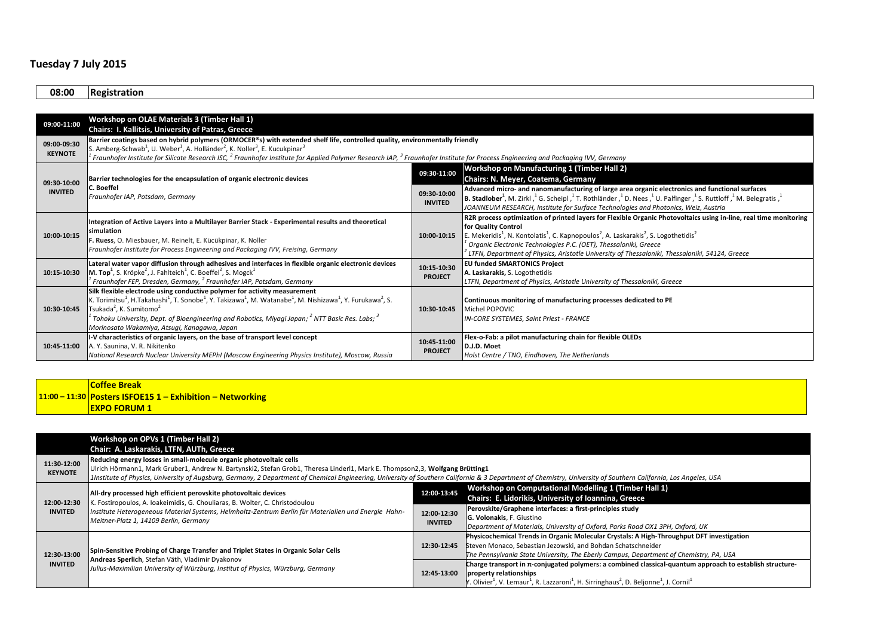# **Tuesday 7 July 2015**

**08:00 Registration**

| 09:00-11:00    | Workshop on OLAE Materials 3 (Timber Hall 1)                                                                                                                                                             |                               |                                                                                                                                                                                                                       |  |
|----------------|----------------------------------------------------------------------------------------------------------------------------------------------------------------------------------------------------------|-------------------------------|-----------------------------------------------------------------------------------------------------------------------------------------------------------------------------------------------------------------------|--|
|                | Chairs: I. Kallitsis, University of Patras, Greece                                                                                                                                                       |                               |                                                                                                                                                                                                                       |  |
| 09:00-09:30    | Barrier coatings based on hybrid polymers (ORMOCER®s) with extended shelf life, controlled quality, environmentally friendly                                                                             |                               |                                                                                                                                                                                                                       |  |
| <b>KEYNOTE</b> | S. Amberg-Schwab <sup>1</sup> , U. Weber <sup>1</sup> , A. Holländer <sup>2</sup> , K. Noller <sup>3</sup> , E. Kucukpinar <sup>3</sup>                                                                  |                               |                                                                                                                                                                                                                       |  |
|                | Fraunhofer Institute for Silicate Research ISC, <sup>2</sup> Fraunhofer Institute for Applied Polymer Research IAP, <sup>3</sup> Fraunhofer Institute for Process Engineering and Packaging IVV, Germany |                               |                                                                                                                                                                                                                       |  |
|                |                                                                                                                                                                                                          | 09:30-11:00                   | Workshop on Manufacturing 1 (Timber Hall 2)                                                                                                                                                                           |  |
| 09:30-10:00    | Barrier technologies for the encapsulation of organic electronic devices                                                                                                                                 |                               | Chairs: N. Meyer, Coatema, Germany                                                                                                                                                                                    |  |
| <b>INVITED</b> | <b>C.</b> Boeffel                                                                                                                                                                                        | 09:30-10:00                   | Advanced micro- and nanomanufacturing of large area organic electronics and functional surfaces                                                                                                                       |  |
|                | Fraunhofer IAP, Potsdam, Germany                                                                                                                                                                         | <b>INVITED</b>                | <b>B. Stadlober</b> <sup>1</sup> , M. Zirkl, <sup>1</sup> G. Scheipl, <sup>1</sup> T. Rothländer, <sup>1</sup> D. Nees, <sup>1</sup> U. Palfinger, <sup>1</sup> S. Ruttloff, <sup>1</sup> M. Belegratis, <sup>1</sup> |  |
|                |                                                                                                                                                                                                          |                               | JOANNEUM RESEARCH, Institute for Surface Technologies and Photonics, Weiz, Austria                                                                                                                                    |  |
|                | Integration of Active Layers into a Multilayer Barrier Stack - Experimental results and theoretical                                                                                                      |                               | R2R process optimization of printed layers for Flexible Organic Photovoltaics using in-line, real time monitoring                                                                                                     |  |
|                | simulation<br>F. Ruess, O. Miesbauer, M. Reinelt, E. Kücükpinar, K. Noller<br>Fraunhofer Institute for Process Engineering and Packaging IVV, Freising, Germany                                          | 10:00-10:15                   | for Quality Control                                                                                                                                                                                                   |  |
| 10:00-10:15    |                                                                                                                                                                                                          |                               | E. Mekeridis <sup>1</sup> , N. Kontolatis <sup>1</sup> , C. Kapnopoulos <sup>2</sup> , A. Laskarakis <sup>2</sup> , S. Logothetidis <sup>2</sup>                                                                      |  |
|                |                                                                                                                                                                                                          |                               | <sup>t</sup> Organic Electronic Technologies P.C. (OET), Thessaloniki, Greece                                                                                                                                         |  |
|                |                                                                                                                                                                                                          |                               | LTFN, Department of Physics, Aristotle University of Thessaloniki, Thessaloniki, 54124, Greece                                                                                                                        |  |
|                | Lateral water vapor diffusion through adhesives and interfaces in flexible organic electronic devices                                                                                                    | 10:15-10:30<br><b>PROJECT</b> | <b>EU funded SMARTONICS Project</b>                                                                                                                                                                                   |  |
| 10:15-10:30    | <b>M. Top<sup>1</sup></b> , S. Kröpke <sup>2</sup> , J. Fahlteich <sup>1</sup> , C. Boeffel <sup>2</sup> , S. Mogck <sup>1</sup>                                                                         |                               | A. Laskarakis, S. Logothetidis                                                                                                                                                                                        |  |
|                | Fraunhofer FEP, Dresden, Germany, <sup>2</sup> Fraunhofer IAP, Potsdam, Germany                                                                                                                          |                               | LTFN, Department of Physics, Aristotle University of Thessaloniki, Greece                                                                                                                                             |  |
|                | Silk flexible electrode using conductive polymer for activity measurement                                                                                                                                |                               |                                                                                                                                                                                                                       |  |
|                | K. Torimitsu <sup>1</sup> , H.Takahashi <sup>1</sup> , T. Sonobe <sup>1</sup> , Y. Takizawa <sup>1</sup> , M. Watanabe <sup>1</sup> , M. Nishizawa <sup>1</sup> , Y. Furukawa <sup>2</sup> , S.          |                               | Continuous monitoring of manufacturing processes dedicated to PE                                                                                                                                                      |  |
| 10:30-10:45    | Tsukada <sup>2</sup> , K. Sumitomo <sup>2</sup>                                                                                                                                                          | 10:30-10:45                   | Michel POPOVIC                                                                                                                                                                                                        |  |
|                | Tohoku University, Dept. of Bioengineering and Robotics, Miyagi Japan; <sup>2</sup> NTT Basic Res. Labs; <sup>3</sup>                                                                                    |                               | IN-CORE SYSTEMES, Saint Priest - FRANCE                                                                                                                                                                               |  |
|                | Morinosato Wakamiya, Atsugi, Kanagawa, Japan                                                                                                                                                             |                               |                                                                                                                                                                                                                       |  |
|                | I-V characteristics of organic layers, on the base of transport level concept                                                                                                                            | 10:45-11:00                   | Flex-o-Fab: a pilot manufacturing chain for flexible OLEDs                                                                                                                                                            |  |
| 10:45-11:00    | A. Y. Saunina, V. R. Nikitenko                                                                                                                                                                           | <b>PROJECT</b>                | D.J.D. Moet                                                                                                                                                                                                           |  |
|                | National Research Nuclear University MEPhl (Moscow Engineering Physics Institute), Moscow, Russia                                                                                                        |                               | Holst Centre / TNO, Eindhoven, The Netherlands                                                                                                                                                                        |  |

## **11:00 – 11:30 Posters ISFOE15 1 – Exhibition – Networking Coffee Break EXPO FORUM 1**

|                               | Workshop on OPVs 1 (Timber Hall 2)                                                                                                                                                                                                                                                                 |                |                                                                                                                                                                |  |
|-------------------------------|----------------------------------------------------------------------------------------------------------------------------------------------------------------------------------------------------------------------------------------------------------------------------------------------------|----------------|----------------------------------------------------------------------------------------------------------------------------------------------------------------|--|
|                               | Chair: A. Laskarakis, LTFN, AUTh, Greece                                                                                                                                                                                                                                                           |                |                                                                                                                                                                |  |
| 11:30-12:00                   | Reducing energy losses in small-molecule organic photovoltaic cells                                                                                                                                                                                                                                |                |                                                                                                                                                                |  |
| <b>KEYNOTE</b>                | Ulrich Hörmann1, Mark Gruber1, Andrew N. Bartynski2, Stefan Grob1, Theresa Linderl1, Mark E. Thompson2,3, Wolfgang Brütting1                                                                                                                                                                       |                |                                                                                                                                                                |  |
|                               | 1Institute of Physics, University of Augsburg, Germany, 2 Department of Chemical Engineering, University of Southern California & 3 Department of Chemistry, University of Southern California, Los Angeles, USA                                                                                   |                |                                                                                                                                                                |  |
|                               |                                                                                                                                                                                                                                                                                                    |                | Workshop on Computational Modelling 1 (Timber Hall 1)                                                                                                          |  |
|                               | All-dry processed high efficient perovskite photovoltaic devices<br>K. Fostiropoulos, A. Ioakeimidis, G. Chouliaras, B. Wolter, C. Christodoulou<br>Institute Heterogeneous Material Systems, Helmholtz-Zentrum Berlin für Materialien und Energie Hahn-<br>Meitner-Platz 1, 14109 Berlin, Germany | 12:00-13:45    | Chairs: E. Lidorikis, University of Ioannina, Greece                                                                                                           |  |
| 12:00-12:30<br><b>INVITED</b> |                                                                                                                                                                                                                                                                                                    |                | Perovskite/Graphene interfaces: a first-principles study                                                                                                       |  |
|                               |                                                                                                                                                                                                                                                                                                    | 12:00-12:30    | G. Volonakis, F. Giustino                                                                                                                                      |  |
|                               |                                                                                                                                                                                                                                                                                                    | <b>INVITED</b> | Department of Materials, University of Oxford, Parks Road OX1 3PH, Oxford, UK                                                                                  |  |
|                               |                                                                                                                                                                                                                                                                                                    |                | Physicochemical Trends in Organic Molecular Crystals: A High-Throughput DFT investigation                                                                      |  |
|                               | Spin-Sensitive Probing of Charge Transfer and Triplet States in Organic Solar Cells<br>Andreas Sperlich, Stefan Väth, Vladimir Dyakonov<br>Julius-Maximilian University of Würzburg, Institut of Physics, Würzburg, Germany                                                                        | 12:30-12:45    | Steven Monaco, Sebastian Jezowski, and Bohdan Schatschneider                                                                                                   |  |
| 12:30-13:00<br><b>INVITED</b> |                                                                                                                                                                                                                                                                                                    |                | The Pennsylvania State University, The Eberly Campus, Department of Chemistry, PA, USA                                                                         |  |
|                               |                                                                                                                                                                                                                                                                                                    |                | Charge transport in $\pi$ -conjugated polymers: a combined classical-quantum approach to establish structure-                                                  |  |
|                               |                                                                                                                                                                                                                                                                                                    | 12:45-13:00    | property relationships                                                                                                                                         |  |
|                               |                                                                                                                                                                                                                                                                                                    |                | Y. Olivier <sup>1</sup> , V. Lemaur <sup>1</sup> , R. Lazzaroni <sup>1</sup> , H. Sirringhaus <sup>2</sup> , D. Beljonne <sup>1</sup> , J. Cornil <sup>1</sup> |  |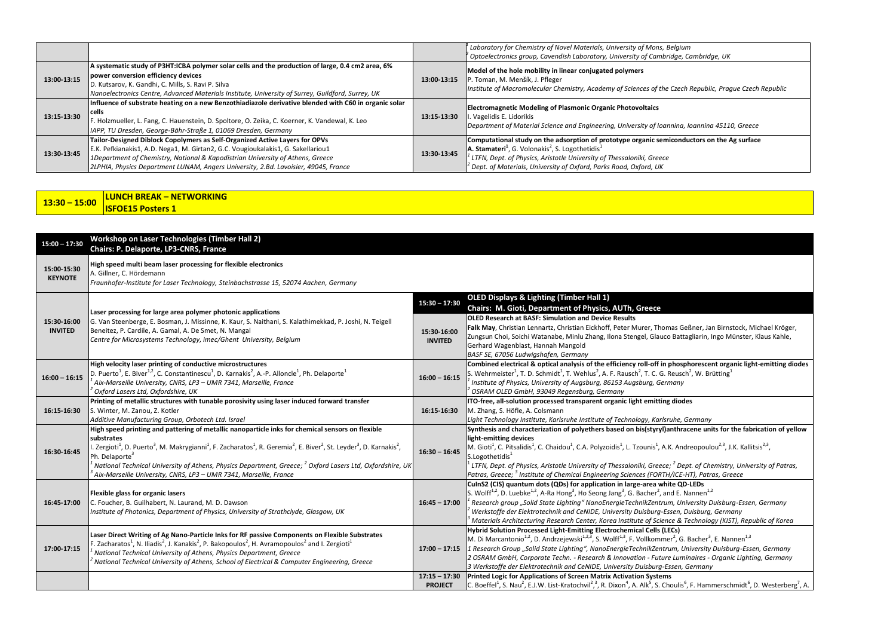|             |                                                                                                                                                                                                                                                                                                                                          |             | Laboratory for Chemistry of Novel Materials, University of Mons, Belgium<br>$^{\prime}$ Optoelectronics group, Cavendish Laboratory, University of Cambridge, Cambridge, UK                                                                                                                                                                 |
|-------------|------------------------------------------------------------------------------------------------------------------------------------------------------------------------------------------------------------------------------------------------------------------------------------------------------------------------------------------|-------------|---------------------------------------------------------------------------------------------------------------------------------------------------------------------------------------------------------------------------------------------------------------------------------------------------------------------------------------------|
| 13:00-13:15 | A systematic study of P3HT:ICBA polymer solar cells and the production of large, 0.4 cm2 area, 6%<br>power conversion efficiency devices<br>D. Kutsarov, K. Gandhi, C. Mills, S. Ravi P. Silva<br>Nanoelectronics Centre, Advanced Materials Institute, University of Surrey, Guildford, Surrey, UK                                      | 13:00-13:15 | Model of the hole mobility in linear conjugated polymers<br>P. Toman, M. Menšík, J. Pfleger<br>Institute of Macromolecular Chemistry, Academy of Sciences of the Czech Republic, Prague Czech Republic                                                                                                                                      |
| 13:15-13:30 | Influence of substrate heating on a new Benzothiadiazole derivative blended with C60 in organic solar<br>l cells<br>F. Holzmueller, L. Fang, C. Hauenstein, D. Spoltore, O. Zeika, C. Koerner, K. Vandewal, K. Leo<br>IAPP, TU Dresden, George-Bähr-Straße 1, 01069 Dresden, Germany                                                     | 13:15-13:30 | <b>Electromagnetic Modeling of Plasmonic Organic Photovoltaics</b><br>. Vagelidis E. Lidorikis<br>Department of Material Science and Engineering, University of Ioannina, Ioannina 45110, Greece                                                                                                                                            |
| 13:30-13:45 | Tailor-Designed Diblock Copolymers as Self-Organized Active Layers for OPVs<br>E.K. Pefkianakis1, A.D. Nega1, M. Girtan2, G.C. Vougioukalakis1, G. Sakellariou1<br>1Department of Chemistry, National & Kapodistrian University of Athens, Greece<br>2LPHIA, Physics Department LUNAM, Angers University, 2.Bd. Lavoisier, 49045, France | 13:30-13:45 | Computational study on the adsorption of prototype organic semiconductors on the Ag surface<br>A. Stamateri <sup>1</sup> , G. Volonakis <sup>2</sup> , S. Logothetidis <sup>1</sup><br>LTFN, Dept. of Physics, Aristotle University of Thessaloniki, Greece<br>$^{\prime}$ Dept. of Materials, University of Oxford, Parks Road, Oxford, UK |

| $13:30 - 15:00$ | <b>LUNCH BREAK - NETWORKING</b> |
|-----------------|---------------------------------|
|                 | <b>ISFOE15 Posters 1</b>        |

| $15:00 - 17:30$               | Workshop on Laser Technologies (Timber Hall 2)<br>Chairs: P. Delaporte, LP3-CNRS, France                                                                                                                                                                                                                                                                                                                                                                                                                                                                           |                                                  |                                                                                                                                                                                                                                                                                                                                                                                                                                                                                                                                                                                                                                     |
|-------------------------------|--------------------------------------------------------------------------------------------------------------------------------------------------------------------------------------------------------------------------------------------------------------------------------------------------------------------------------------------------------------------------------------------------------------------------------------------------------------------------------------------------------------------------------------------------------------------|--------------------------------------------------|-------------------------------------------------------------------------------------------------------------------------------------------------------------------------------------------------------------------------------------------------------------------------------------------------------------------------------------------------------------------------------------------------------------------------------------------------------------------------------------------------------------------------------------------------------------------------------------------------------------------------------------|
| 15:00-15:30<br><b>KEYNOTE</b> | High speed multi beam laser processing for flexible electronics<br>A. Gillner, C. Hördemann<br>Fraunhofer-Institute for Laser Technology, Steinbachstrasse 15, 52074 Aachen, Germany                                                                                                                                                                                                                                                                                                                                                                               |                                                  |                                                                                                                                                                                                                                                                                                                                                                                                                                                                                                                                                                                                                                     |
| 15:30-16:00<br><b>INVITED</b> | Laser processing for large area polymer photonic applications<br>G. Van Steenberge, E. Bosman, J. Missinne, K. Kaur, S. Naithani, S. Kalathimekkad, P. Joshi, N. Teigell<br>Beneitez, P. Cardile, A. Gamal, A. De Smet, N. Mangal<br>Centre for Microsystems Technology, imec/Ghent University, Belgium                                                                                                                                                                                                                                                            | $15:30 - 17:30$<br>15:30-16:00<br><b>INVITED</b> | <b>OLED Displays &amp; Lighting (Timber Hall 1)</b><br>Chairs: M. Gioti, Department of Physics, AUTh, Greece<br><b>OLED Research at BASF: Simulation and Device Results</b><br>Falk May, Christian Lennartz, Christian Eickhoff, Peter Murer, Thomas Geßner, Jan Birnstock, Michael Kröger,<br>Zungsun Choi, Soichi Watanabe, Minlu Zhang, Ilona Stengel, Glauco Battagliarin, Ingo Münster, Klaus Kahle,<br>Gerhard Wagenblast, Hannah Mangold<br>BASF SE, 67056 Ludwigshafen, Germany                                                                                                                                             |
| $16:00 - 16:15$               | High velocity laser printing of conductive microstructures<br>D. Puerto <sup>1</sup> , E. Biver <sup>1,2</sup> , C. Constantinescu <sup>1</sup> , D. Karnakis <sup>2</sup> , A.-P. Alloncle <sup>1</sup> , Ph. Delaporte <sup>1</sup><br>Aix-Marseille University, CNRS, LP3 - UMR 7341, Marseille, France<br>Oxford Lasers Ltd, Oxfordshire, UK                                                                                                                                                                                                                   | $16:00 - 16:15$                                  | Combined electrical & optical analysis of the efficiency roll-off in phosphorescent organic light-emitting diodes<br>S. Wehrmeister <sup>1</sup> , T. D. Schmidt <sup>1</sup> , T. Wehlus <sup>2</sup> , A. F. Rausch <sup>2</sup> , T. C. G. Reusch <sup>2</sup> , W. Brütting <sup>1</sup><br>Institute of Physics, University of Augsburg, 86153 Augsburg, Germany<br>OSRAM OLED GmbH, 93049 Regensburg, Germany                                                                                                                                                                                                                 |
| 16:15-16:30                   | Printing of metallic structures with tunable porosivity using laser induced forward transfer<br>S. Winter, M. Zanou, Z. Kotler<br>Additive Manufacturing Group, Orbotech Ltd. Israel                                                                                                                                                                                                                                                                                                                                                                               | 16:15-16:30                                      | ITO-free, all-solution processed transparent organic light emitting diodes<br>M. Zhang, S. Höfle, A. Colsmann<br>Light Technology Institute, Karlsruhe Institute of Technology, Karlsruhe, Germany                                                                                                                                                                                                                                                                                                                                                                                                                                  |
| 16:30-16:45                   | High speed printing and pattering of metallic nanoparticle inks for chemical sensors on flexible<br>substrates<br>I. Zergioti <sup>1</sup> , D. Puerto <sup>3</sup> , M. Makrygianni <sup>1</sup> , F. Zacharatos <sup>1</sup> , R. Geremia <sup>2</sup> , E. Biver <sup>2</sup> , St. Leyder <sup>3</sup> , D. Karnakis <sup>2</sup> ,<br>Ph. Delaporte <sup>3</sup><br>National Technical University of Athens, Physics Department, Greece; <sup>2</sup> Oxford Lasers Ltd, Oxfordshire, UK<br>Aix-Marseille University, CNRS, LP3 - UMR 7341, Marseille, France | $16:30 - 16:45$                                  | Synthesis and characterization of polyethers based on bis(styryl)anthracene units for the fabrication of yellow<br>light-emitting devices<br>M. Gioti <sup>1</sup> , C. Pitsalidis <sup>1</sup> , C. Chaidou <sup>1</sup> , C.A. Polyzoidis <sup>1</sup> , L. Tzounis <sup>1</sup> , A.K. Andreopoulou <sup>2,3</sup> , J.K. Kallitsis <sup>2,3</sup> ,<br>S.Logothetidis <sup>1</sup><br>$^{\rm t}$ LTFN, Dept. of Physics, Aristotle University of Thessaloniki, Greece; $^2$ Dept. of Chemistry, University of Patras,<br>Patras, Greece; <sup>3</sup> Institute of Chemical Engineering Sciences (FORTH/ICE-HT), Patras, Greece |
| 16:45-17:00                   | Flexible glass for organic lasers<br>C. Foucher, B. Guilhabert, N. Laurand, M. D. Dawson<br>Institute of Photonics, Department of Physics, University of Strathclyde, Glasgow, UK                                                                                                                                                                                                                                                                                                                                                                                  | $16:45 - 17:00$                                  | CuInS2 (CIS) quantum dots (QDs) for application in large-area white QD-LEDs<br>S. Wolff <sup>1,2</sup> , D. Luebke <sup>1,2</sup> , A-Ra Hong <sup>3</sup> , Ho Seong Jang <sup>3</sup> , G. Bacher <sup>2</sup> , and E. Nannen <sup>1,2</sup><br>Research group "Solid State Lighting" NanoEnergieTechnikZentrum, University Duisburg-Essen, Germany !<br>Werkstoffe der Elektrotechnik and CeNIDE, University Duisburg-Essen, Duisburg, Germany<br>Materials Architecturing Research Center, Korea Institute of Science & Technology (KIST), Republic of Korea                                                                   |
| 17:00-17:15                   | Laser Direct Writing of Ag Nano-Particle Inks for RF passive Components on Flexible Substrates<br>F. Zacharatos <sup>1</sup> , N. Iliadis <sup>2</sup> , J. Kanakis <sup>2</sup> , P. Bakopoulos <sup>2</sup> , H. Avramopoulos <sup>2</sup> and I. Zergioti <sup>1</sup><br>National Technical University of Athens, Physics Department, Greece<br>National Technical University of Athens, School of Electrical & Computer Engineering, Greece                                                                                                                   | $17:00 - 17:15$                                  | Hybrid Solution Processed Light-Emitting Electrochemical Cells (LECs)<br>M. Di Marcantonio <sup>1,2</sup> , D. Andrzejewski <sup>1,2,3</sup> , S. Wolff <sup>1,3</sup> , F. Vollkommer <sup>2</sup> , G. Bacher <sup>3</sup> , E. Nannen <sup>1,3</sup><br>1 Research Group "Solid State Lighting", NanoEnergieTechnikZentrum, University Duisburg-Essen, Germany<br>2 OSRAM GmbH, Corporate Techn. - Research & Innovation - Future Luminaires - Organic Lighting, Germany<br>3 Werkstoffe der Elektrotechnik and CeNIDE, University Duisburg-Essen, Germany                                                                       |
|                               |                                                                                                                                                                                                                                                                                                                                                                                                                                                                                                                                                                    | $17:15 - 17:30$<br><b>PROJECT</b>                | Printed Logic for Applications of Screen Matrix Activation Systems<br>C. Boeffel <sup>1</sup> , S. Nau <sup>2</sup> , E.J.W. List-Kratochvil <sup>2</sup> , <sup>3</sup> , R. Dixon <sup>4</sup> , A. Alk <sup>5</sup> , S. Choulis <sup>6</sup> , F. Hammerschmidt <sup>6</sup> , D. Westerberg <sup>7</sup> , A.                                                                                                                                                                                                                                                                                                                  |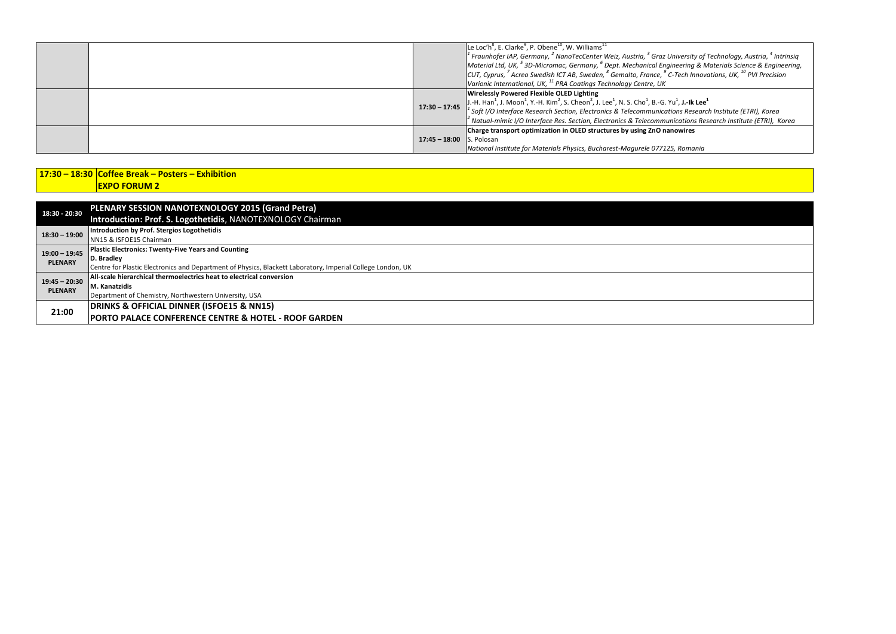|                 | Le Loc'h <sup>8</sup> , E. Clarke <sup>9</sup> , P. Obene <sup>10</sup> , W. Williams <sup>11</sup><br>$^1$ Fraunhofer IAP, Germany, $^2$ NanoTecCenter Weiz, Austria, $^3$ Graz University of Technology, Austria, $^4$ Intrinsig<br>Material Ltd, UK, $53D$ -Micromac, Germany, $6D$ ept. Mechanical Engineering & Materials Science & Engineering,<br>CUT, Cyprus, <sup>7</sup> Acreo Swedish ICT AB, Sweden, <sup>8</sup> Gemalto, France, <sup>9</sup> C-Tech Innovations, UK, <sup>10</sup> PVI Precision<br>Varionic International, UK, <sup>11</sup> PRA Coatings Technology Centre, UK |
|-----------------|-------------------------------------------------------------------------------------------------------------------------------------------------------------------------------------------------------------------------------------------------------------------------------------------------------------------------------------------------------------------------------------------------------------------------------------------------------------------------------------------------------------------------------------------------------------------------------------------------|
| $17:30 - 17:45$ | <b>Wirelessly Powered Flexible OLED Lighting</b><br>J.-H. Han <sup>1</sup> , J. Moon <sup>1</sup> , Y.-H. Kim <sup>2</sup> , S. Cheon <sup>2</sup> , J. Lee <sup>1</sup> , N. S. Cho <sup>1</sup> , B.-G. Yu <sup>1</sup> , J.-Ik Lee <sup>1</sup><br>$1$ Soft I/O Interface Research Section, Electronics & Telecommunications Research Institute (ETRI), Korea<br>Natual-mimic I/O Interface Res. Section, Electronics & Telecommunications Research Institute (ETRI), Korea ``                                                                                                               |
|                 | Charge transport optimization in OLED structures by using ZnO nanowires<br>17:45 - 18:00 S. Polosan<br>National Institute for Materials Physics, Bucharest-Magurele 077125, Romania                                                                                                                                                                                                                                                                                                                                                                                                             |

## **17:30 – 18:30 Coffee Break – Posters – Exhibition EXPO FORUM 2**

| 18:30 - 20:30   | PLENARY SESSION NANOTEXNOLOGY 2015 (Grand Petra)                                                           |
|-----------------|------------------------------------------------------------------------------------------------------------|
|                 | Introduction: Prof. S. Logothetidis, NANOTEXNOLOGY Chairman                                                |
| $18:30 - 19:00$ | Introduction by Prof. Stergios Logothetidis                                                                |
|                 | NN15 & ISFOE15 Chairman                                                                                    |
| $19:00 - 19:45$ | Plastic Electronics: Twenty-Five Years and Counting                                                        |
| <b>PLENARY</b>  | D. Bradley                                                                                                 |
|                 | Centre for Plastic Electronics and Department of Physics, Blackett Laboratory, Imperial College London, UK |
| $19:45 - 20:30$ | All-scale hierarchical thermoelectrics heat to electrical conversion                                       |
| <b>PLENARY</b>  | M. Kanatzidis                                                                                              |
|                 | Department of Chemistry, Northwestern University, USA                                                      |
| 21:00           | DRINKS & OFFICIAL DINNER (ISFOE15 & NN15)                                                                  |
|                 | <b>PORTO PALACE CONFERENCE CENTRE &amp; HOTEL - ROOF GARDEN</b>                                            |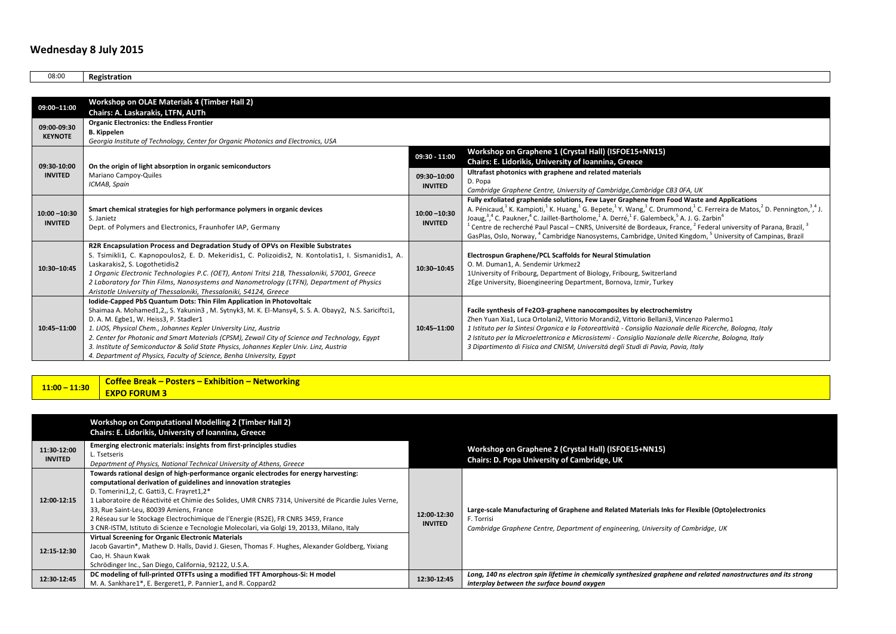### **Wednesday 8 July 2015**

08:00 **Registration 09:00–11:00 Workshop on OLAE Materials 4 (Timber Hall 2) Chairs: A. Laskarakis, LTFN, AUTh 09:00-09:30 KEYNOTE Organic Electronics: the Endless Frontier B. Kippelen** *Georgia Institute of Technology, Center for Organic Photonics and Electronics, USA* **09:30-10:00 INVITED On the origin of light absorption in organic semiconductors** Mariano Campoy-Quiles *ICMAB, Spain* **09:30 - 11:00 Workshop on Graphene 1 (Crystal Hall) (ISFOE15+NN15) Chairs: E. Lidorikis, University of Ioannina, Greece 09:30–10:00 INVITED Ultrafast photonics with graphene and related materials** D. Popa *Cambridge Graphene Centre, University of Cambridge,Cambridge CB3 0FA, UK* **10:00 –10:30 INVITED Smart chemical strategies for high performance polymers in organic devices** S. Janietz Dept. of Polymers and Electronics, Fraunhofer IAP, Germany **10:00 –10:30 INVITED Fully exfoliated graphenide solutions, Few Layer Graphene from Food Waste and Applications** A. Pénicaud,<sup>1</sup> K. Kampioti,<sup>1</sup> K. Huang,<sup>1</sup> G. Bepete,<sup>1</sup> Y. Wang,<sup>1</sup> C. Drummond,<sup>1</sup> C. Ferreira de Matos,<sup>2</sup> D. Pennington,<sup>3,4</sup> J. Joaug,<sup>3,4</sup> C. Paukner,<sup>4</sup> C. Jaillet-Bartholome,<sup>1</sup> A. Derré,<sup>1</sup> F. Galembeck,<sup>5</sup> A. J. G. Zarbin<sup>4</sup>  $^1$  Centre de recherché Paul Pascal – CNRS, Université de Bordeaux, France,  $^2$  Federal university of Parana, Brazil,  $^3$ GasPlas, Oslo, Norway, <sup>4</sup> Cambridge Nanosystems, Cambridge, United Kingdom, <sup>5</sup> University of Campinas, Brazil **10:30–10:45 R2R Encapsulation Process and Degradation Study of OPVs on Flexible Substrates** S. Tsimikli1, C. Kapnopoulos2, E. D. Mekeridis1, C. Polizoidis2, N. Kontolatis1, I. Sismanidis1, A. Laskarakis2, S. Logothetidis2 *1 Organic Electronic Technologies P.C. (OET), Antoni Tritsi 21B, Thessaloniki, 57001, Greece 2 Laboratory for Thin Films, Nanosystems and Nanometrology (LTFN), Department of Physics Aristotle University of Thessaloniki, Thessaloniki, 54124, Greece* **10:30–10:45 Electrospun Graphene/PCL Scaffolds for Neural Stimulation** O. M. Duman1, A. Sendemir Urkmez2 1University of Fribourg, Department of Biology, Fribourg, Switzerland 2Ege University, Bioengineering Department, Bornova, Izmir, Turkey **10:45–11:00 Iodide-Capped PbS Quantum Dots: Thin Film Application in Photovoltaic** Shaimaa A. Mohamed1,2,, S. Yakunin3 , M. Sytnyk3, M. K. El-Mansy4, S. S. A. Obayy2, N.S. Sariciftci1, D. A. M. Egbe1, W. Heiss3, P. Stadler1 *1. LIOS, Physical Chem., Johannes Kepler University Linz, Austria 2. Center for Photonic and Smart Materials (CPSM), Zewail City of Science and Technology, Egypt 3. Institute of Semiconductor & Solid State Physics, Johannes Kepler Univ. Linz, Austria 4. Department of Physics, Faculty of Science, Benha University, Egypt* **10:45–11:00 Facile synthesis of Fe2O3-graphene nanocomposites by electrochemistry**  Zhen Yuan Xia1, Luca Ortolani2, Vittorio Morandi2, Vittorio Bellani3, Vincenzo Palermo1 *1 Istituto per la Sintesi Organica e la Fotoreattività - Consiglio Nazionale delle Ricerche, Bologna, Italy 2 Istituto per la Microelettronica e Microsistemi - Consiglio Nazionale delle Ricerche, Bologna, Italy 3 Dipartimento di Fisica and CNISM, Universitá degli Studi di Pavia, Pavia, Italy*

**11:00 – 11:30 Coffee Break – Posters – Exhibition – Networking EXPO FORUM 3**

|                               | Workshop on Computational Modelling 2 (Timber Hall 2)<br>Chairs: E. Lidorikis, University of Ioannina, Greece                                                                                                                                                                                                                                                                                                                                                                                                                                   |                               |                                                                                                                                                                                                    |
|-------------------------------|-------------------------------------------------------------------------------------------------------------------------------------------------------------------------------------------------------------------------------------------------------------------------------------------------------------------------------------------------------------------------------------------------------------------------------------------------------------------------------------------------------------------------------------------------|-------------------------------|----------------------------------------------------------------------------------------------------------------------------------------------------------------------------------------------------|
| 11:30-12:00<br><b>INVITED</b> | Emerging electronic materials: insights from first-principles studies<br>L. Tsetseris<br>Department of Physics, National Technical University of Athens, Greece                                                                                                                                                                                                                                                                                                                                                                                 |                               | Workshop on Graphene 2 (Crystal Hall) (ISFOE15+NN15)<br><b>Chairs: D. Popa University of Cambridge, UK</b>                                                                                         |
| 12:00-12:15                   | Towards rational design of high-performance organic electrodes for energy harvesting:<br>computational derivation of guidelines and innovation strategies<br>D. Tomerini1,2, C. Gatti3, C. Frayret1,2*<br>1 Laboratoire de Réactivité et Chimie des Solides, UMR CNRS 7314, Université de Picardie Jules Verne,<br>33, Rue Saint-Leu, 80039 Amiens, France<br>2 Réseau sur le Stockage Electrochimique de l'Energie (RS2E), FR CNRS 3459, France<br>3 CNR-ISTM, Istituto di Scienze e Tecnologie Molecolari, via Golgi 19, 20133, Milano, Italy | 12:00-12:30<br><b>INVITED</b> | Large-scale Manufacturing of Graphene and Related Materials Inks for Flexible (Opto)electronics<br>F. Torrisi<br>Cambridge Graphene Centre, Department of engineering, University of Cambridge, UK |
| 12:15-12:30                   | <b>Virtual Screening for Organic Electronic Materials</b><br>Jacob Gavartin*, Mathew D. Halls, David J. Giesen, Thomas F. Hughes, Alexander Goldberg, Yixiang<br>Cao, H. Shaun Kwak<br>Schrödinger Inc., San Diego, California, 92122, U.S.A.                                                                                                                                                                                                                                                                                                   |                               |                                                                                                                                                                                                    |
| 12:30-12:45                   | DC modeling of full-printed OTFTs using a modified TFT Amorphous-Si: H model<br>M. A. Sankhare 1*, E. Bergeret 1, P. Pannier 1, and R. Coppard 2                                                                                                                                                                                                                                                                                                                                                                                                | 12:30-12:45                   | Long, 140 ns electron spin lifetime in chemically synthesized graphene and related nanostructures and its strong<br>interplay between the surface bound oxygen                                     |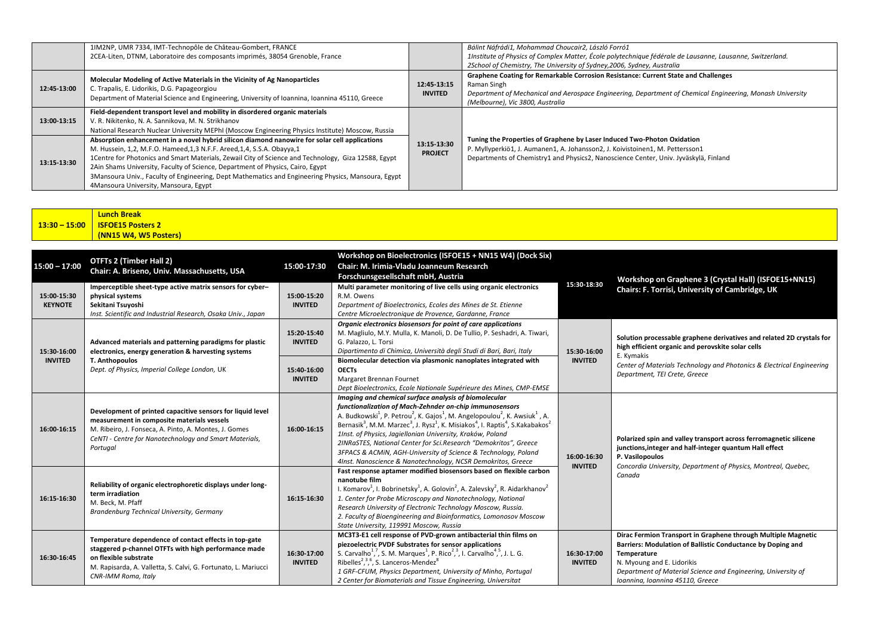|             | 1IM2NP, UMR 7334, IMT-Technopôle de Château-Gombert, FRANCE<br>2CEA-Liten, DTNM, Laboratoire des composants imprimés, 38054 Grenoble, France                                                                                                                                                                                                                                                                                                                                                                        |                               | Bálint Náfrádi1, Mohammad Choucair2, László Forró1<br>1Institute of Physics of Complex Matter, École polytechnique fédérale de Lausanne, Lausanne, Switzerland.<br>2School of Chemistry, The University of Sydney, 2006, Sydney, Australia         |
|-------------|---------------------------------------------------------------------------------------------------------------------------------------------------------------------------------------------------------------------------------------------------------------------------------------------------------------------------------------------------------------------------------------------------------------------------------------------------------------------------------------------------------------------|-------------------------------|----------------------------------------------------------------------------------------------------------------------------------------------------------------------------------------------------------------------------------------------------|
| 12:45-13:00 | Molecular Modeling of Active Materials in the Vicinity of Ag Nanoparticles<br>C. Trapalis, E. Lidorikis, D.G. Papageorgiou<br>Department of Material Science and Engineering, University of Ioannina, Ioannina 45110, Greece                                                                                                                                                                                                                                                                                        | 12:45-13:15<br><b>INVITED</b> | Graphene Coating for Remarkable Corrosion Resistance: Current State and Challenges<br>Raman Singh<br>Department of Mechanical and Aerospace Engineering, Department of Chemical Engineering, Monash University<br>(Melbourne), Vic 3800, Australia |
| 13:00-13:15 | Field-dependent transport level and mobility in disordered organic materials<br>V. R. Nikitenko, N. A. Sannikova, M. N. Strikhanov<br>National Research Nuclear University MEPhI (Moscow Engineering Physics Institute) Moscow, Russia                                                                                                                                                                                                                                                                              |                               |                                                                                                                                                                                                                                                    |
| 13:15-13:30 | Absorption enhancement in a novel hybrid silicon diamond nanowire for solar cell applications<br>M. Hussein, 1,2, M.F.O. Hameed, 1, 3 N.F.F. Areed, 1, 4, S.S.A. Obayya, 1<br>1 Centre for Photonics and Smart Materials, Zewail City of Science and Technology, Giza 12588, Egypt<br>2Ain Shams University, Faculty of Science, Department of Physics, Cairo, Egypt<br>3Mansoura Univ., Faculty of Engineering, Dept Mathematics and Engineering Physics, Mansoura, Egypt<br>4Mansoura University, Mansoura, Egypt | 13:15-13:30<br><b>PROJECT</b> | Tuning the Properties of Graphene by Laser Induced Two-Photon Oxidation<br>P. Myllyperkiö1, J. Aumanen1, A. Johansson2, J. Koivistoinen1, M. Pettersson1<br>Departments of Chemistry1 and Physics2, Nanoscience Center, Univ. Jyväskylä, Finland   |

|  | <b>Lunch Break</b>               |
|--|----------------------------------|
|  | $13:30 - 15:00$ SFOE15 Posters 2 |
|  | (NN15 W4, W5 Posters)            |

| $15:00 - 17:00$               | <b>OTFTs 2 (Timber Hall 2)</b><br>Chair: A. Briseno, Univ. Massachusetts, USA                                                                                                                                                           | 15:00-17:30                   | Workshop on Bioelectronics (ISFOE15 + NN15 W4) (Dock Six)<br>Chair: M. Irimia-Vladu Joanneum Research<br>Forschunsgesellschaft mbH, Austria                                                                                                                                                                                                                                                                                                                                                                                                                                                                                                                                                | 15:30-18:30                   | Workshop on Graphene 3 (Crystal Hall) (ISFOE15+NN15)                                                                                                                                                                                                                           |
|-------------------------------|-----------------------------------------------------------------------------------------------------------------------------------------------------------------------------------------------------------------------------------------|-------------------------------|--------------------------------------------------------------------------------------------------------------------------------------------------------------------------------------------------------------------------------------------------------------------------------------------------------------------------------------------------------------------------------------------------------------------------------------------------------------------------------------------------------------------------------------------------------------------------------------------------------------------------------------------------------------------------------------------|-------------------------------|--------------------------------------------------------------------------------------------------------------------------------------------------------------------------------------------------------------------------------------------------------------------------------|
| 15:00-15:30<br><b>KEYNOTE</b> | Imperceptible sheet-type active matrix sensors for cyber-<br>physical systems<br>Sekitani Tsuvoshi<br>Inst. Scientific and Industrial Research, Osaka Univ., Japan                                                                      | 15:00-15:20<br><b>INVITED</b> | Multi parameter monitoring of live cells using organic electronics<br>R.M. Owens<br>Department of Bioelectronics, Ecoles des Mines de St. Etienne<br>Centre Microelectronique de Provence, Gardanne, France                                                                                                                                                                                                                                                                                                                                                                                                                                                                                |                               | Chairs: F. Torrisi, University of Cambridge, UK                                                                                                                                                                                                                                |
| 15:30-16:00                   | Advanced materials and patterning paradigms for plastic<br>electronics, energy generation & harvesting systems                                                                                                                          | 15:20-15:40<br><b>INVITED</b> | Organic electronics biosensors for point of care applications<br>M. Magliulo, M.Y. Mulla, K. Manoli, D. De Tullio, P. Seshadri, A. Tiwari,<br>G. Palazzo, L. Torsi<br>Dipartimento di Chimica, Università degli Studi di Bari, Bari, Italy                                                                                                                                                                                                                                                                                                                                                                                                                                                 | 15:30-16:00                   | Solution processable graphene derivatives and related 2D crystals for<br>high efficient organic and perovskite solar cells<br>E. Kymakis                                                                                                                                       |
| <b>INVITED</b>                | T. Anthopoulos<br>Dept. of Physics, Imperial College London, UK                                                                                                                                                                         | 15:40-16:00<br><b>INVITED</b> | Biomolecular detection via plasmonic nanoplates integrated with<br><b>OECTs</b><br>Margaret Brennan Fournet<br>Dept Bioelectronics, Ecole Nationale Supérieure des Mines, CMP-EMSE                                                                                                                                                                                                                                                                                                                                                                                                                                                                                                         | <b>INVITED</b>                | Center of Materials Technology and Photonics & Electrical Engineering<br>Department, TEI Crete, Greece                                                                                                                                                                         |
| 16:00-16:15                   | Development of printed capacitive sensors for liquid level<br>measurement in composite materials vessels<br>M. Ribeiro, J. Fonseca, A. Pinto, A. Montes, J. Gomes<br>CeNTI - Centre for Nanotechnology and Smart Materials,<br>Portugal | 16:00-16:15                   | Imaging and chemical surface analysis of biomolecular<br>functionalization of Mach-Zehnder on-chip immunosensors<br>A. Budkowski <sup>1</sup> , P. Petrou <sup>2</sup> , K. Gajos <sup>1</sup> , M. Angelopoulou <sup>2</sup> , K. Awsiuk <sup>1</sup> , A.<br>Bernasik <sup>3</sup> , M.M. Marzec <sup>3</sup> , J. Rysz <sup>1</sup> , K. Misiakos <sup>4</sup> , I. Raptis <sup>4</sup> , S. Kakabakos <sup>2</sup><br>1Inst. of Physics, Jagiellonian University, Kraków, Poland<br>2INRaSTES, National Center for Sci.Research "Demokritos", Greece<br>3FPACS & ACMIN, AGH-University of Science & Technology, Poland<br>4Inst. Nanoscience & Nanotechnology, NCSR Demokritos, Greece | 16:00-16:30<br><b>INVITED</b> | Polarized spin and valley transport across ferromagnetic silicene<br>junctions, integer and half-integer quantum Hall effect<br>P. Vasilopoulos<br>Concordia University, Department of Physics, Montreal, Quebec,                                                              |
| 16:15-16:30                   | Reliability of organic electrophoretic displays under long-<br>term irradiation<br>M. Beck, M. Pfaff<br>Brandenburg Technical University, Germany                                                                                       | 16:15-16:30                   | Fast response aptamer modified biosensors based on flexible carbon<br>nanotube film<br>I. Komarov <sup>1</sup> , I. Bobrinetsky <sup>1</sup> , A. Golovin <sup>2</sup> , A. Zalevsky <sup>2</sup> , R. Aidarkhanov <sup>2</sup><br>1. Center for Probe Microscopy and Nanotechnology, National<br>Research University of Electronic Technology Moscow, Russia.<br>2. Faculty of Bioengineering and Bioinformatics, Lomonosov Moscow<br>State University, 119991 Moscow, Russia                                                                                                                                                                                                             |                               | Canada                                                                                                                                                                                                                                                                         |
| 16:30-16:45                   | Temperature dependence of contact effects in top-gate<br>staggered p-channel OTFTs with high performance made<br>on flexible substrate<br>M. Rapisarda, A. Valletta, S. Calvi, G. Fortunato, L. Mariucci<br>CNR-IMM Roma, Italy         | 16:30-17:00<br><b>INVITED</b> | MC3T3-E1 cell response of PVD-grown antibacterial thin films on<br>piezoelectric PVDF Substrates for sensor applications<br>S. Carvalho <sup>1</sup> , <sup>7</sup> , S. M. Marques <sup>1</sup> , P. Rico <sup>2</sup> , <sup>3</sup> , I. Carvalho <sup>4</sup> , <sup>5</sup> , J. L. G.<br>Ribelles <sup>2, 36</sup> , S. Lanceros-Mendez <sup>8</sup><br>1 GRF-CFUM, Physics Department, University of Minho, Portugal<br>2 Center for Biomaterials and Tissue Engineering, Universitat                                                                                                                                                                                               | 16:30-17:00<br><b>INVITED</b> | Dirac Fermion Transport in Graphene through Multiple Magnetic<br>Barriers: Modulation of Ballistic Conductance by Doping and<br>Temperature<br>N. Myoung and E. Lidorikis<br>Department of Material Science and Engineering, University of<br>Ioannina, Ioannina 45110, Greece |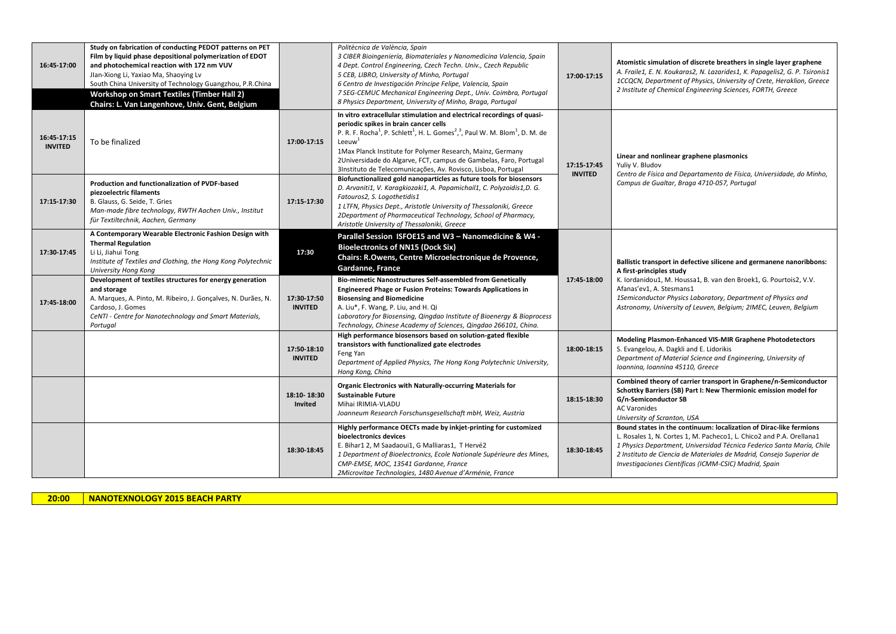| 16:45-17:00                   | Study on fabrication of conducting PEDOT patterns on PET<br>Film by liquid phase depositional polymerization of EDOT<br>and photochemical reaction with 172 nm VUV<br>Jlan-Xiong Li, Yaxiao Ma, Shaoying Lv<br>South China University of Technology Guangzhou, P.R.China<br><b>Workshop on Smart Textiles (Timber Hall 2)</b><br>Chairs: L. Van Langenhove, Univ. Gent, Belgium |                               | Politècnica de València, Spain<br>3 CIBER Bioingeniería, Biomateriales y Nanomedicina Valencia, Spain<br>4 Dept. Control Engineering, Czech Techn. Univ., Czech Republic<br>5 CEB, LIBRO, University of Minho, Portugal<br>6 Centro de Investigación Príncipe Felipe, Valencia, Spain<br>7 SEG-CEMUC Mechanical Engineering Dept., Univ. Coimbra, Portugal<br>8 Physics Department, University of Minho, Braga, Portugal                                                               | 17:00-17:15                   | Atomistic simulation of discrete breathers in single layer graphene<br>A. Fraile1, E. N. Koukaras2, N. Lazarides1, K. Papagelis2, G. P. Tsironis1<br>1CCQCN, Department of Physics, University of Crete, Heraklion, Greece<br>2 Institute of Chemical Engineering Sciences, FORTH, Greece                                                           |
|-------------------------------|---------------------------------------------------------------------------------------------------------------------------------------------------------------------------------------------------------------------------------------------------------------------------------------------------------------------------------------------------------------------------------|-------------------------------|----------------------------------------------------------------------------------------------------------------------------------------------------------------------------------------------------------------------------------------------------------------------------------------------------------------------------------------------------------------------------------------------------------------------------------------------------------------------------------------|-------------------------------|-----------------------------------------------------------------------------------------------------------------------------------------------------------------------------------------------------------------------------------------------------------------------------------------------------------------------------------------------------|
| 16:45-17:15<br><b>INVITED</b> | To be finalized                                                                                                                                                                                                                                                                                                                                                                 | 17:00-17:15                   | In vitro extracellular stimulation and electrical recordings of quasi-<br>periodic spikes in brain cancer cells<br>P. R. F. Rocha <sup>1</sup> , P. Schlett <sup>1</sup> , H. L. Gomes <sup>2</sup> , <sup>3</sup> , Paul W. M. Blom <sup>1</sup> , D. M. de<br>Leeuw <sup>1</sup><br>1Max Planck Institute for Polymer Research, Mainz, Germany<br>2Universidade do Algarve, FCT, campus de Gambelas, Faro, Portugal<br>3Instituto de Telecomunicações, Av. Rovisco, Lisboa, Portugal | 17:15-17:45<br><b>INVITED</b> | Linear and nonlinear graphene plasmonics<br>Yuliy V. Bludov<br>Centro de Física and Departamento de Física, Universidade, do Minho,                                                                                                                                                                                                                 |
| 17:15-17:30                   | Production and functionalization of PVDF-based<br>piezoelectric filaments<br>B. Glauss, G. Seide, T. Gries<br>Man-made fibre technology, RWTH Aachen Univ., Institut<br>für Textiltechnik, Aachen, Germany                                                                                                                                                                      | 17:15-17:30                   | Biofunctionalized gold nanoparticles as future tools for biosensors<br>D. Arvaniti1, V. Karagkiozaki1, A. Papamichail1, C. Polyzoidis1,D. G.<br>Fatouros2, S. Logothetidis1<br>1 LTFN, Physics Dept., Aristotle University of Thessaloniki, Greece<br>2Department of Pharmaceutical Technology, School of Pharmacy,<br>Aristotle University of Thessaloniki, Greece                                                                                                                    |                               | Campus de Gualtar, Braga 4710-057, Portugal                                                                                                                                                                                                                                                                                                         |
| 17:30-17:45                   | A Contemporary Wearable Electronic Fashion Design with<br><b>Thermal Regulation</b><br>Li Li, Jiahui Tong<br>Institute of Textiles and Clothing, the Hong Kong Polytechnic<br>University Hong Kong                                                                                                                                                                              | 17:30                         | Parallel Session ISFOE15 and W3 - Nanomedicine & W4 -<br><b>Bioelectronics of NN15 (Dock Six)</b><br>Chairs: R.Owens, Centre Microelectronique de Provence,<br><b>Gardanne, France</b>                                                                                                                                                                                                                                                                                                 |                               | Ballistic transport in defective silicene and germanene nanoribbons:<br>A first-principles study                                                                                                                                                                                                                                                    |
| 17:45-18:00                   | Development of textiles structures for energy generation<br>and storage<br>A. Marques, A. Pinto, M. Ribeiro, J. Gonçalves, N. Durães, N.<br>Cardoso, J. Gomes<br>CeNTI - Centre for Nanotechnology and Smart Materials,<br>Portugal                                                                                                                                             | 17:30-17:50<br><b>INVITED</b> | Bio-mimetic Nanostructures Self-assembled from Genetically<br><b>Engineered Phage or Fusion Proteins: Towards Applications in</b><br><b>Biosensing and Biomedicine</b><br>A. Liu*, F. Wang, P. Liu, and H. Qi<br>Laboratory for Biosensing, Qingdao Institute of Bioenergy & Bioprocess<br>Technology, Chinese Academy of Sciences, Qingdao 266101, China.                                                                                                                             | 17:45-18:00                   | K. Iordanidou1, M. Houssa1, B. van den Broek1, G. Pourtois2, V.V.<br>Afanas'ev1, A. Stesmans1<br>1Semiconductor Physics Laboratory, Department of Physics and<br>Astronomy, University of Leuven, Belgium; 2IMEC, Leuven, Belgium                                                                                                                   |
|                               |                                                                                                                                                                                                                                                                                                                                                                                 | 17:50-18:10<br><b>INVITED</b> | High performance biosensors based on solution-gated flexible<br>transistors with functionalized gate electrodes<br>Feng Yan<br>Department of Applied Physics, The Hong Kong Polytechnic University,<br>Hong Kong, China                                                                                                                                                                                                                                                                | 18:00-18:15                   | Modeling Plasmon-Enhanced VIS-MIR Graphene Photodetectors<br>S. Evangelou, A. Dagkli and E. Lidorikis<br>Department of Material Science and Engineering, University of<br>Ioannina, Ioannina 45110, Greece                                                                                                                                          |
|                               |                                                                                                                                                                                                                                                                                                                                                                                 | 18:10-18:30<br>Invited        | <b>Organic Electronics with Naturally-occurring Materials for</b><br><b>Sustainable Future</b><br>Mihai IRIMIA-VLADU<br>Joanneum Research Forschunsgesellschaft mbH, Weiz, Austria                                                                                                                                                                                                                                                                                                     | 18:15-18:30                   | Combined theory of carrier transport in Graphene/n-Semiconductor<br>Schottky Barriers (SB) Part I: New Thermionic emission model for<br>G/n-Semiconductor SB<br><b>AC Varonides</b><br>University of Scranton, USA                                                                                                                                  |
|                               |                                                                                                                                                                                                                                                                                                                                                                                 | 18:30-18:45                   | Highly performance OECTs made by inkiet-printing for customized<br>bioelectronics devices<br>E. Bihar1 2, M Saadaoui1, G Malliaras1, T Hervé2<br>1 Department of Bioelectronics, Ecole Nationale Supérieure des Mines,<br>CMP-EMSE, MOC, 13541 Gardanne, France<br>2Microvitae Technologies, 1480 Avenue d'Arménie, France                                                                                                                                                             | 18:30-18:45                   | Bound states in the continuum: localization of Dirac-like fermions<br>L. Rosales 1, N. Cortes 1, M. Pacheco1, L. Chico2 and P.A. Orellana1<br>1 Physics Department, Universidad Técnica Federico Santa María, Chile<br>2 Instituto de Ciencia de Materiales de Madrid, Consejo Superior de<br>Investigaciones Científicas (ICMM-CSIC) Madrid, Spain |

**20:00 NANOTEXNOLOGY 2015 BEACH PARTY**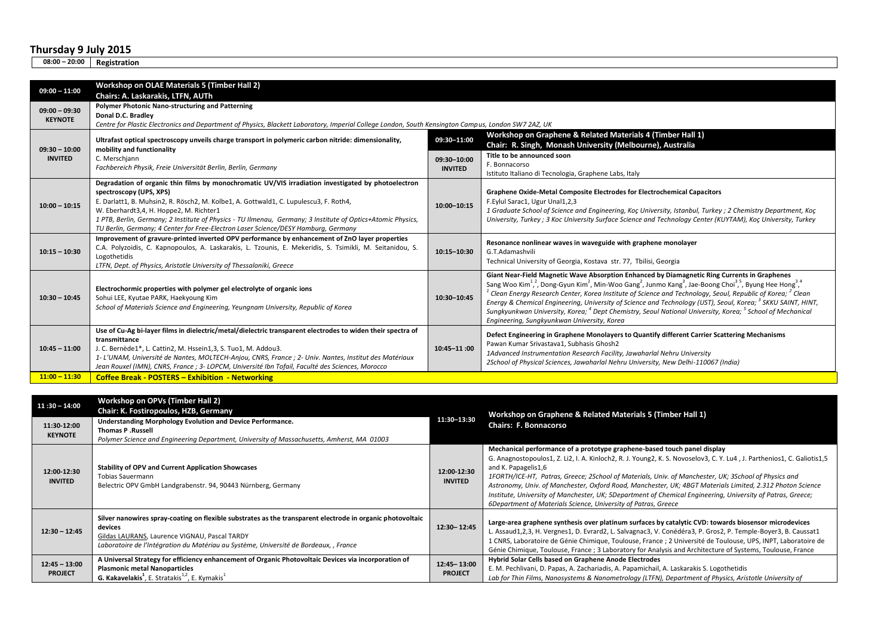**08:00 – 20:00 Registration**

| $09:00 - 11:00$                   | Workshop on OLAE Materials 5 (Timber Hall 2)                                                                                                                                                                                                                                                                                                                                                                                                                            |                               |                                                                                                                                                                                                                                                                                                                                                                                                                                                                                                                                                                                                                                                                                                                        |
|-----------------------------------|-------------------------------------------------------------------------------------------------------------------------------------------------------------------------------------------------------------------------------------------------------------------------------------------------------------------------------------------------------------------------------------------------------------------------------------------------------------------------|-------------------------------|------------------------------------------------------------------------------------------------------------------------------------------------------------------------------------------------------------------------------------------------------------------------------------------------------------------------------------------------------------------------------------------------------------------------------------------------------------------------------------------------------------------------------------------------------------------------------------------------------------------------------------------------------------------------------------------------------------------------|
| $09:00 - 09:30$<br><b>KEYNOTE</b> | Chairs: A. Laskarakis, LTFN, AUTh<br>Polymer Photonic Nano-structuring and Patterning<br>Donal D.C. Bradley<br>Centre for Plastic Electronics and Department of Physics, Blackett Laboratory, Imperial College London, South Kensington Campus, London SW7 2AZ, UK                                                                                                                                                                                                      |                               |                                                                                                                                                                                                                                                                                                                                                                                                                                                                                                                                                                                                                                                                                                                        |
| $09:30 - 10:00$                   | Ultrafast optical spectroscopy unveils charge transport in polymeric carbon nitride: dimensionality,<br>mobility and functionality                                                                                                                                                                                                                                                                                                                                      | 09:30-11:00                   | Workshop on Graphene & Related Materials 4 (Timber Hall 1)<br>Chair: R. Singh, Monash University (Melbourne), Australia<br>Title to be announced soon                                                                                                                                                                                                                                                                                                                                                                                                                                                                                                                                                                  |
| <b>INVITED</b>                    | C. Merschiann<br>Fachbereich Physik, Freie Universität Berlin, Berlin, Germany                                                                                                                                                                                                                                                                                                                                                                                          | 09:30-10:00<br><b>INVITED</b> | F. Bonnacorso<br>Istituto Italiano di Tecnologia, Graphene Labs, Italy                                                                                                                                                                                                                                                                                                                                                                                                                                                                                                                                                                                                                                                 |
| $10:00 - 10:15$                   | Degradation of organic thin films by monochromatic UV/VIS irradiation investigated by photoelectron<br>spectroscopy (UPS, XPS)<br>E. Darlatt1, B. Muhsin2, R. Rösch2, M. Kolbe1, A. Gottwald1, C. Lupulescu3, F. Roth4,<br>W. Eberhardt3,4, H. Hoppe2, M. Richter1<br>1 PTB, Berlin, Germany; 2 Institute of Physics - TU Ilmenau, Germany; 3 Institute of Optics+Atomic Physics,<br>TU Berlin, Germany; 4 Center for Free-Electron Laser Science/DESY Hamburg, Germany | 10:00-10:15                   | Graphene Oxide-Metal Composite Electrodes for Electrochemical Capacitors<br>F.Eylul Sarac1, Ugur Unal1,2,3<br>1 Graduate School of Science and Engineering, Koç University, Istanbul, Turkey ; 2 Chemistry Department, Koç<br>University, Turkey ; 3 Koc University Surface Science and Technology Center (KUYTAM), Koc University, Turkey                                                                                                                                                                                                                                                                                                                                                                             |
| $10:15 - 10:30$                   | Improvement of gravure-printed inverted OPV performance by enhancement of ZnO layer properties<br>C.A. Polyzoidis, C. Kapnopoulos, A. Laskarakis, L. Tzounis, E. Mekeridis, S. Tsimikli, M. Seitanidou, S.<br>Logothetidis<br>LTFN, Dept. of Physics, Aristotle University of Thessaloniki, Greece                                                                                                                                                                      | 10:15-10:30                   | Resonance nonlinear waves in waveguide with graphene monolayer<br>G.T.Adamashvili<br>Technical University of Georgia, Kostava str. 77, Tbilisi, Georgia                                                                                                                                                                                                                                                                                                                                                                                                                                                                                                                                                                |
| $10:30 - 10:45$                   | Electrochormic properties with polymer gel electrolyte of organic ions<br>Sohui LEE, Kyutae PARK, Haekyoung Kim<br>School of Materials Science and Engineering, Yeungnam University, Republic of Korea                                                                                                                                                                                                                                                                  | 10:30-10:45                   | Giant Near-Field Magnetic Wave Absorption Enhanced by Diamagnetic Ring Currents in Graphenes<br>Sang Woo Kim <sup>12</sup> , Dong-Gyun Kim <sup>2</sup> , Min-Woo Gang <sup>2</sup> , Junmo Kang <sup>3</sup> , Jae-Boong Choi <sup>3,5</sup> , Byung Hee Hong <sup>3,4</sup><br>$^1$ Clean Energy Research Center, Korea Institute of Science and Technology, Seoul, Republic of Korea; $^2$ Clean $\,$<br>Energy & Chemical Engineering, University of Science and Technology (UST), Seoul, Korea; <sup>3</sup> SKKU SAINT, HINT,<br>Sungkyunkwan University, Korea; <sup>4</sup> Dept Chemistry, Seoul National University, Korea; <sup>5</sup> School of Mechanical<br>Engineering, Sungkyunkwan University, Korea |
| $10:45 - 11:00$                   | Use of Cu-Ag bi-layer films in dielectric/metal/dielectric transparent electrodes to widen their spectra of<br>transmittance<br>J. C. Bernède1*, L. Cattin2, M. Hssein1,3, S. Tuo1, M. Addou3.<br>1- L'UNAM, Université de Nantes, MOLTECH-Anjou, CNRS, France ; 2- Univ. Nantes, Institut des Matériaux<br>Jean Rouxel (IMN), CNRS, France ; 3- LOPCM, Université Ibn Tofail, Faculté des Sciences, Morocco                                                            | $10:45 - 11:00$               | Defect Engineering in Graphene Monolayers to Quantify different Carrier Scattering Mechanisms<br>Pawan Kumar Srivastava1, Subhasis Ghosh2<br>1Advanced Instrumentation Research Facility, Jawaharlal Nehru University<br>2School of Physical Sciences, Jawaharlal Nehru University, New Delhi-110067 (India)                                                                                                                                                                                                                                                                                                                                                                                                           |
| $11:00 - 11:30$                   | <b>Coffee Break - POSTERS - Exhibition - Networking</b>                                                                                                                                                                                                                                                                                                                                                                                                                 |                               |                                                                                                                                                                                                                                                                                                                                                                                                                                                                                                                                                                                                                                                                                                                        |

| $11:30 - 14:00$                   | Workshop on OPVs (Timber Hall 2)<br>Chair: K. Fostiropoulos, HZB, Germany                                                                                                                                                                                       |                               | Workshop on Graphene & Related Materials 5 (Timber Hall 1)                                                                                                                                                                                                                                                                                                                                                                                                                                                                                                                                                                      |
|-----------------------------------|-----------------------------------------------------------------------------------------------------------------------------------------------------------------------------------------------------------------------------------------------------------------|-------------------------------|---------------------------------------------------------------------------------------------------------------------------------------------------------------------------------------------------------------------------------------------------------------------------------------------------------------------------------------------------------------------------------------------------------------------------------------------------------------------------------------------------------------------------------------------------------------------------------------------------------------------------------|
| 11:30-12:00<br><b>KEYNOTE</b>     | Understanding Morphology Evolution and Device Performance.<br><b>Thomas P.Russell</b><br>Polymer Science and Engineering Department, University of Massachusetts, Amherst, MA 01003                                                                             | 11:30-13:30                   | <b>Chairs: F. Bonnacorso</b>                                                                                                                                                                                                                                                                                                                                                                                                                                                                                                                                                                                                    |
| 12:00-12:30<br><b>INVITED</b>     | <b>Stability of OPV and Current Application Showcases</b><br><b>Tobias Sauermann</b><br>Belectric OPV GmbH Landgrabenstr. 94, 90443 Nürnberg, Germany                                                                                                           | 12:00-12:30<br><b>INVITED</b> | Mechanical performance of a prototype graphene-based touch panel display<br>G. Anagnostopoulos1, Z. Li2, I. A. Kinloch2, R. J. Young2, K. S. Novoselov3, C. Y. Lu4, J. Parthenios1, C. Galiotis1,5<br>and K. Papagelis1,6<br>1FORTH/ICE-HT, Patras, Greece; 2School of Materials, Univ. of Manchester, UK; 3School of Physics and<br>Astronomy, Univ. of Manchester, Oxford Road, Manchester, UK; 4BGT Materials Limited, 2.312 Photon Science<br>Institute, University of Manchester, UK; 5Department of Chemical Engineering, University of Patras, Greece;<br>6Department of Materials Science, University of Patras, Greece |
| $12:30 - 12:45$                   | Silver nanowires spray-coating on flexible substrates as the transparent electrode in organic photovoltaic<br>devices<br>Gildas LAURANS, Laurence VIGNAU, Pascal TARDY<br>Laboratoire de l'Intégration du Matériau au Système, Université de Bordeaux, , France | 12:30-12:45                   | Large-area graphene synthesis over platinum surfaces by catalytic CVD: towards biosensor microdevices<br>L. Assaud1,2,3, H. Vergnes1, D. Evrard2, L. Salvagnac3, V. Conédéra3, P. Gros2, P. Temple-Boyer3, B. Caussat1<br>1 CNRS, Laboratoire de Génie Chimique, Toulouse, France ; 2 Université de Toulouse, UPS, INPT, Laboratoire de<br>Génie Chimique, Toulouse, France ; 3 Laboratory for Analysis and Architecture of Systems, Toulouse, France                                                                                                                                                                           |
| $12:45 - 13:00$<br><b>PROJECT</b> | A Universal Strategy for efficiency enhancement of Organic Photovoltaic Devices via incorporation of<br><b>Plasmonic metal Nanoparticles</b><br><b>G. Kakavelakis</b> <sup>1</sup> , E. Stratakis <sup>1,2</sup> , E. Kymakis <sup>1</sup>                      | 12:45-13:00<br><b>PROJECT</b> | Hybrid Solar Cells based on Graphene Anode Electrodes<br>E. M. Pechlivani, D. Papas, A. Zachariadis, A. Papamichail, A. Laskarakis S. Logothetidis<br>Lab for Thin Films, Nanosystems & Nanometrology (LTFN), Department of Physics, Aristotle University of                                                                                                                                                                                                                                                                                                                                                                    |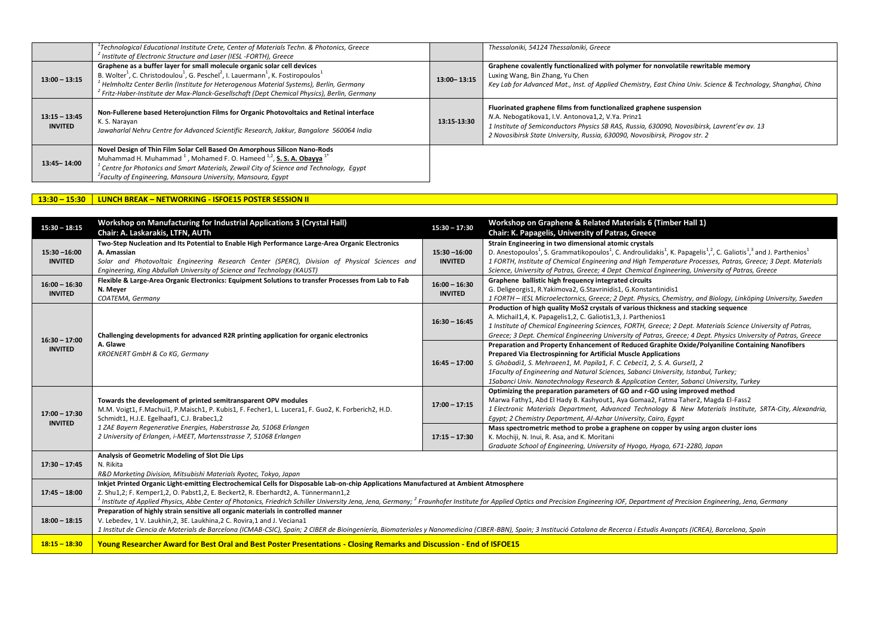|                                   | $^{\rm t}$ Technological Educational Institute Crete, Center of Materials Techn. & Photonics, Greece<br>Institute of Electronic Structure and Laser (IESL -FORTH), Greece                                                                                                                                                                                                                                                     |             | Thessaloniki, 54124 Thessaloniki, Greece                                                                                                                                                                                                                                                                |
|-----------------------------------|-------------------------------------------------------------------------------------------------------------------------------------------------------------------------------------------------------------------------------------------------------------------------------------------------------------------------------------------------------------------------------------------------------------------------------|-------------|---------------------------------------------------------------------------------------------------------------------------------------------------------------------------------------------------------------------------------------------------------------------------------------------------------|
| $13:00 - 13:15$                   | Graphene as a buffer layer for small molecule organic solar cell devices<br>B. Wolter <sup>1</sup> , C. Christodoulou <sup>1</sup> , G. Peschel <sup>2</sup> , I. Lauermann <sup>1</sup> , K. Fostiropoulos <sup>1</sup><br>Helmholtz Center Berlin (Institute for Heterogenous Material Systems), Berlin, Germany<br><sup>2</sup> Fritz-Haber-Institute der Max-Planck-Gesellschaft (Dept Chemical Physics), Berlin, Germany | 13:00-13:15 | Graphene covalently functionalized with polymer for nonvolatile rewritable memory<br>Luxing Wang, Bin Zhang, Yu Chen<br>Key Lab for Advanced Mat., Inst. of Applied Chemistry, East China Univ. Science & Technology, Shanghai, China                                                                   |
| $13:15 - 13:45$<br><b>INVITED</b> | Non-Fullerene based Heterojunction Films for Organic Photovoltaics and Retinal interface<br>K. S. Narayan<br>Jawaharlal Nehru Centre for Advanced Scientific Research, Jakkur, Bangalore 560064 India                                                                                                                                                                                                                         | 13:15-13:30 | Fluorinated graphene films from functionalized graphene suspension<br>N.A. Nebogatikova1, I.V. Antonova1,2, V.Ya. Prinz1<br>1 Institute of Semiconductors Physics SB RAS, Russia, 630090, Novosibirsk, Lavrent'ev av. 13<br>2 Novosibirsk State University, Russia, 630090, Novosibirsk, Pirogov str. 2 |
| 13:45-14:00                       | Novel Design of Thin Film Solar Cell Based On Amorphous Silicon Nano-Rods<br>Muhammad H. Muhammad <sup>1</sup> , Mohamed F. O. Hameed <sup>1,2</sup> , S. S. A. Obayya <sup>1</sup><br>Centre for Photonics and Smart Materials, Zewail City of Science and Technology, Egypt<br><sup>2</sup> Faculty of Engineering, Mansoura University, Mansoura, Egypt                                                                    |             |                                                                                                                                                                                                                                                                                                         |

#### **13:30 – 15:30 LUNCH BREAK – NETWORKING - ISFOE15 POSTER SESSION II**

| $15:30 - 18:15$                   | <b>Workshop on Manufacturing for Industrial Applications 3 (Crystal Hall)</b><br>Chair: A. Laskarakis, LTFN, AUTh                                                                                                                                                                                                                                                                                                                                                                | $15:30 - 17:30$                   | Workshop on Graphene & Related Materials 6 (Timber Hall 1)<br>Chair: K. Papagelis, University of Patras, Greece                                                                                                                                                                                                                                                                                                                                                        |
|-----------------------------------|----------------------------------------------------------------------------------------------------------------------------------------------------------------------------------------------------------------------------------------------------------------------------------------------------------------------------------------------------------------------------------------------------------------------------------------------------------------------------------|-----------------------------------|------------------------------------------------------------------------------------------------------------------------------------------------------------------------------------------------------------------------------------------------------------------------------------------------------------------------------------------------------------------------------------------------------------------------------------------------------------------------|
| $15:30 - 16:00$<br><b>INVITED</b> | Two-Step Nucleation and Its Potential to Enable High Performance Large-Area Organic Electronics<br>A. Amassian<br>Solar and Photovoltaic Engineering Research Center (SPERC), Division of Physical Sciences and<br>Engineering, King Abdullah University of Science and Technology (KAUST)                                                                                                                                                                                       | $15:30 - 16:00$<br><b>INVITED</b> | Strain Engineering in two dimensional atomic crystals<br>D. Anestopoulos <sup>1</sup> , S. Grammatikopoulos <sup>1</sup> , C. Androulidakis <sup>1</sup> , K. Papagelis <sup>1,2</sup> , C. Galiotis <sup>1,3</sup> and J. Parthenios <sup>1</sup><br>1 FORTH, Institute of Chemical Engineering and High Temperature Processes, Patras, Greece; 3 Dept. Materials<br>Science, University of Patras, Greece; 4 Dept Chemical Engineering, University of Patras, Greece |
| $16:00 - 16:30$<br><b>INVITED</b> | Flexible & Large-Area Organic Electronics: Equipment Solutions to transfer Processes from Lab to Fab<br>N. Meyer<br>COATEMA, Germany                                                                                                                                                                                                                                                                                                                                             | $16:00 - 16:30$<br><b>INVITED</b> | Graphene ballistic high frequency integrated circuits<br>G. Deligeorgis1, R. Yakimova2, G. Stavrinidis1, G. Konstantinidis1<br>1 FORTH - IESL Microelectornics, Greece; 2 Dept. Physics, Chemistry, and Biology, Linköping University, Sweden                                                                                                                                                                                                                          |
|                                   | Challenging developments for advanced R2R printing application for organic electronics                                                                                                                                                                                                                                                                                                                                                                                           | $16:30 - 16:45$                   | Production of high quality MoS2 crystals of various thickness and stacking sequence<br>A. Michail1,4, K. Papagelis1,2, C. Galiotis1,3, J. Parthenios1<br>1 Institute of Chemical Engineering Sciences, FORTH, Greece; 2 Dept. Materials Science University of Patras,<br>Greece; 3 Dept. Chemical Engineering University of Patras, Greece; 4 Dept. Physics University of Patras, Greece                                                                               |
| $16:30 - 17:00$<br><b>INVITED</b> | A. Glawe<br>KROENERT GmbH & Co KG, Germany                                                                                                                                                                                                                                                                                                                                                                                                                                       | $16:45 - 17:00$                   | Preparation and Property Enhancement of Reduced Graphite Oxide/Polyaniline Containing Nanofibers<br><b>Prepared Via Electrospinning for Artificial Muscle Applications</b><br>S. Ghobadi1, S. Mehraeen1, M. Papila1, F. C. Cebeci1, 2, S. A. Gursel1, 2<br>1Faculty of Engineering and Natural Sciences, Sabanci University, Istanbul, Turkey;<br>1Sabanci Univ. Nanotechnology Research & Application Center, Sabanci University, Turkey                              |
| $17:00 - 17:30$<br><b>INVITED</b> | Towards the development of printed semitransparent OPV modules<br>M.M. Voigt1, F.Machui1, P.Maisch1, P. Kubis1, F. Fecher1, L. Lucera1, F. Guo2, K. Forberich2, H.D.<br>Schmidt1, H.J.E. Egelhaaf1, C.J. Brabec1,2                                                                                                                                                                                                                                                               | $17:00 - 17:15$                   | Optimizing the preparation parameters of GO and r-GO using improved method<br>Marwa Fathy1, Abd El Hady B. Kashyout1, Aya Gomaa2, Fatma Taher2, Magda El-Fass2<br>1 Electronic Materials Department, Advanced Technology & New Materials Institute, SRTA-City, Alexandria,<br>Egypt; 2 Chemistry Department, Al-Azhar University, Cairo, Egypt                                                                                                                         |
|                                   | 1 ZAE Bayern Regenerative Energies, Haberstrasse 2a, 51068 Erlangen<br>2 University of Erlangen, i-MEET, Martensstrasse 7, 51068 Erlangen                                                                                                                                                                                                                                                                                                                                        | $17:15 - 17:30$                   | Mass spectrometric method to probe a graphene on copper by using argon cluster ions<br>K. Mochiji, N. Inui, R. Asa, and K. Moritani<br>Graduate School of Engineering, University of Hyogo, Hyogo, 671-2280, Japan                                                                                                                                                                                                                                                     |
| $17:30 - 17:45$                   | Analysis of Geometric Modeling of Slot Die Lips<br>N. Rikita<br>R&D Marketing Division, Mitsubishi Materials Ryotec, Tokyo, Japan                                                                                                                                                                                                                                                                                                                                                |                                   |                                                                                                                                                                                                                                                                                                                                                                                                                                                                        |
| $17:45 - 18:00$                   | Inkjet Printed Organic Light-emitting Electrochemical Cells for Disposable Lab-on-chip Applications Manufactured at Ambient Atmosphere<br>Z. Shu1,2; F. Kemper1,2, O. Pabst1,2, E. Beckert2, R. Eberhardt2, A. Tünnermann1,2<br><sup>l</sup> Institute of Applied Physics, Abbe Center of Photonics, Friedrich Schiller University Jena, Jena, Germany; <sup>2</sup> Fraunhofer Institute for Applied Optics and Precision Engineering IOF, Department of Precision Engineering, |                                   |                                                                                                                                                                                                                                                                                                                                                                                                                                                                        |
| $18:00 - 18:15$                   | Preparation of highly strain sensitive all organic materials in controlled manner<br>V. Lebedev, 1 V. Laukhin, 2, 3E. Laukhina, 2 C. Rovira, 1 and J. Veciana 1<br>1 Institut de Ciencia de Materials de Barcelona (ICMAB-CSIC), Spain; 2 CIBER de Bioingeniería, Biomateriales y Nanomedicina (CIBER-BBN), Spain; 3 Institució Catalana de Recerca i Estudis Avançats (ICREA), Barcelona, Spain                                                                                 |                                   |                                                                                                                                                                                                                                                                                                                                                                                                                                                                        |
| $18:15 - 18:30$                   | Young Researcher Award for Best Oral and Best Poster Presentations - Closing Remarks and Discussion - End of ISFOE15                                                                                                                                                                                                                                                                                                                                                             |                                   |                                                                                                                                                                                                                                                                                                                                                                                                                                                                        |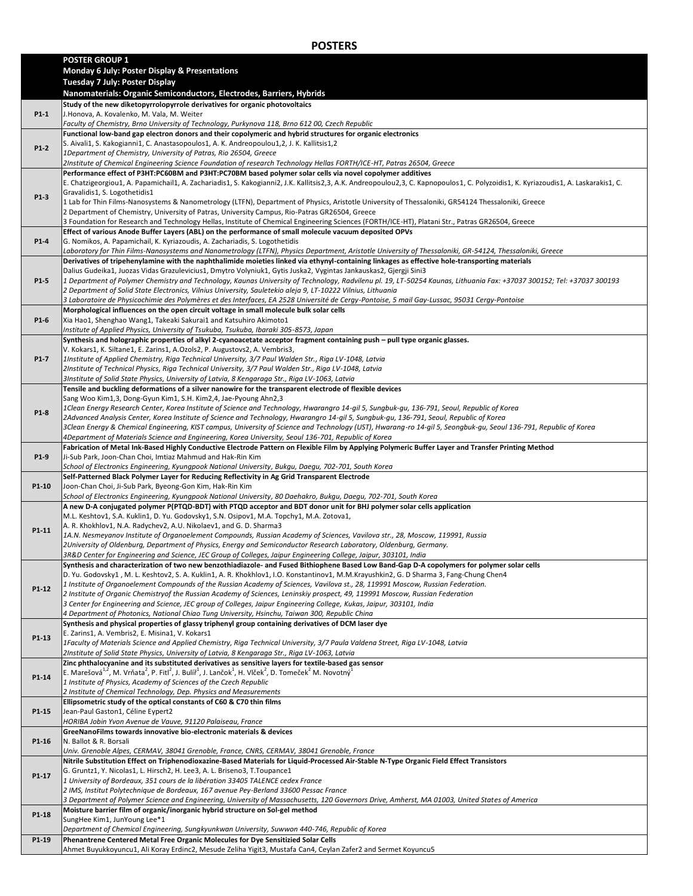## **POSTERS**

|        | <b>POSTER GROUP 1</b>                                                                                                                                                                                                                                                                 |
|--------|---------------------------------------------------------------------------------------------------------------------------------------------------------------------------------------------------------------------------------------------------------------------------------------|
|        | <b>Monday 6 July: Poster Display &amp; Presentations</b>                                                                                                                                                                                                                              |
|        | Tuesday 7 July: Poster Display                                                                                                                                                                                                                                                        |
|        | Nanomaterials: Organic Semiconductors, Electrodes, Barriers, Hybrids                                                                                                                                                                                                                  |
|        | Study of the new diketopyrrolopyrrole derivatives for organic photovoltaics                                                                                                                                                                                                           |
| $P1-1$ | J.Honova, A. Kovalenko, M. Vala, M. Weiter                                                                                                                                                                                                                                            |
|        | Faculty of Chemistry, Brno University of Technology, Purkynova 118, Brno 612 00, Czech Republic                                                                                                                                                                                       |
|        | Functional low-band gap electron donors and their copolymeric and hybrid structures for organic electronics                                                                                                                                                                           |
| $P1-2$ | S. Aivali1, S. Kakogianni1, C. Anastasopoulos1, A. K. Andreopoulou1,2, J. K. Kallitsis1,2                                                                                                                                                                                             |
|        | 1Department of Chemistry, University of Patras, Rio 26504, Greece                                                                                                                                                                                                                     |
|        | 2Institute of Chemical Engineering Science Foundation of research Technology Hellas FORTH/ICE-HT, Patras 26504, Greece                                                                                                                                                                |
|        | Performance effect of P3HT:PC60BM and P3HT:PC70BM based polymer solar cells via novel copolymer additives                                                                                                                                                                             |
|        | E. Chatzigeorgiou1, A. Papamichail1, A. Zachariadis1, S. Kakogianni2, J.K. Kallitsis2,3, A.K. Andreopoulou2,3, C. Kapnopoulos1, C. Polyzoidis1, K. Kyriazoudis1, A. Laskarakis1, C.<br>Gravalidis1, S. Logothetidis1                                                                  |
| P1-3   | 1 Lab for Thin Films-Nanosystems & Nanometrology (LTFN), Department of Physics, Aristotle University of Thessaloniki, GR54124 Thessaloniki, Greece                                                                                                                                    |
|        | 2 Department of Chemistry, University of Patras, University Campus, Rio-Patras GR26504, Greece                                                                                                                                                                                        |
|        | 3 Foundation for Research and Technology Hellas, Institute of Chemical Engineering Sciences (FORTH/ICE-HT), Platani Str., Patras GR26504, Greece                                                                                                                                      |
|        | Effect of various Anode Buffer Layers (ABL) on the performance of small molecule vacuum deposited OPVs                                                                                                                                                                                |
| $P1-4$ | G. Nomikos, A. Papamichail, K. Kyriazoudis, A. Zachariadis, S. Logothetidis                                                                                                                                                                                                           |
|        | Laboratory for Thin Films-Nanosystems and Nanometrology (LTFN), Physics Department, Aristotle University of Thessaloniki, GR-54124, Thessaloniki, Greece                                                                                                                              |
|        | Derivatives of tripehenylamine with the naphthalimide moieties linked via ethynyl-containing linkages as effective hole-transporting materials                                                                                                                                        |
|        | Dalius Gudeika1, Juozas Vidas Grazulevicius1, Dmytro Volyniuk1, Gytis Juska2, Vygintas Jankauskas2, Gjergji Sini3                                                                                                                                                                     |
| P1-5   | 1 Department of Polymer Chemistry and Technology, Kaunas University of Technology, Radvilenu pl. 19, LT-50254 Kaunas, Lithuania Fax: +37037 300152; Tel: +37037 300193                                                                                                                |
|        | 2 Department of Solid State Electronics, Vilnius University, Sauletekio aleja 9, LT-10222 Vilnius, Lithuania                                                                                                                                                                          |
|        | 3 Laboratoire de Physicochimie des Polymères et des Interfaces, EA 2528 Université de Cergy-Pontoise, 5 mail Gay-Lussac, 95031 Cergy-Pontoise                                                                                                                                         |
| P1-6   | Morphological influences on the open circuit voltage in small molecule bulk solar cells<br>Xia Hao1, Shenghao Wang1, Takeaki Sakurai1 and Katsuhiro Akimoto1                                                                                                                          |
|        | Institute of Applied Physics, University of Tsukuba, Tsukuba, Ibaraki 305-8573, Japan                                                                                                                                                                                                 |
|        | Synthesis and holographic properties of alkyl 2-cyanoacetate acceptor fragment containing push - pull type organic glasses.                                                                                                                                                           |
|        | V. Kokars1, K. Siltane1, E. Zarins1, A. Ozols2, P. Augustovs2, A. Vembris3,                                                                                                                                                                                                           |
| P1-7   | 1Institute of Applied Chemistry, Riga Technical University, 3/7 Paul Walden Str., Riga LV-1048, Latvia                                                                                                                                                                                |
|        | 2Institute of Technical Physics, Riga Technical University, 3/7 Paul Walden Str., Riga LV-1048, Latvia                                                                                                                                                                                |
|        | 3Institute of Solid State Physics, University of Latvia, 8 Kengaraga Str., Riga LV-1063, Latvia                                                                                                                                                                                       |
|        | Tensile and buckling deformations of a silver nanowire for the transparent electrode of flexible devices                                                                                                                                                                              |
|        | Sang Woo Kim1,3, Dong-Gyun Kim1, S.H. Kim2,4, Jae-Pyoung Ahn2,3                                                                                                                                                                                                                       |
| P1-8   | 1Clean Energy Research Center, Korea Institute of Science and Technology, Hwarangro 14-gil 5, Sungbuk-gu, 136-791, Seoul, Republic of Korea                                                                                                                                           |
|        | 2Advanced Analysis Center, Korea Institute of Science and Technology, Hwarangro 14-gil 5, Sungbuk-gu, 136-791, Seoul, Republic of Korea                                                                                                                                               |
|        | 3Clean Energy & Chemical Engineering, KIST campus, University of Science and Technology (UST), Hwarang-ro 14-gil 5, Seongbuk-gu, Seoul 136-791, Republic of Korea                                                                                                                     |
|        | 4Department of Materials Science and Engineering, Korea University, Seoul 136-701, Republic of Korea<br>Fabrication of Metal Ink-Based Highly Conductive Electrode Pattern on Flexible Film by Applying Polymeric Buffer Layer and Transfer Printing Method                           |
| P1-9   | Ji-Sub Park, Joon-Chan Choi, Imtiaz Mahmud and Hak-Rin Kim                                                                                                                                                                                                                            |
|        | School of Electronics Engineering, Kyungpook National University, Bukgu, Daegu, 702-701, South Korea                                                                                                                                                                                  |
|        | Self-Patterned Black Polymer Layer for Reducing Reflectivity in Ag Grid Transparent Electrode                                                                                                                                                                                         |
| P1-10  | Joon-Chan Choi, Ji-Sub Park, Byeong-Gon Kim, Hak-Rin Kim                                                                                                                                                                                                                              |
|        | School of Electronics Engineering, Kyungpook National University, 80 Daehakro, Bukgu, Daegu, 702-701, South Korea                                                                                                                                                                     |
|        | A new D-A conjugated polymer P(PTQD-BDT) with PTQD acceptor and BDT donor unit for BHJ polymer solar cells application                                                                                                                                                                |
|        | M.L. Keshtov1, S.A. Kuklin1, D. Yu. Godovsky1, S.N. Osipov1, M.A. Topchy1, M.A. Zotova1,                                                                                                                                                                                              |
| P1-11  | A. R. Khokhlov1, N.A. Radychev2, A.U. Nikolaev1, and G. D. Sharma3                                                                                                                                                                                                                    |
|        | 1A.N. Nesmeyanov Institute of Organoelement Compounds, Russian Academy of Sciences, Vavilova str., 28, Moscow, 119991, Russia                                                                                                                                                         |
|        | 2University of Oldenburg, Department of Physics, Energy and Semiconductor Research Laboratory, Oldenburg, Germany.                                                                                                                                                                    |
|        | 3R&D Center for Engineering and Science, JEC Group of Colleges, Jaipur Engineering College, Jaipur, 303101, India                                                                                                                                                                     |
|        | Synthesis and characterization of two new benzothiadiazole- and Fused Bithiophene Based Low Band-Gap D-A copolymers for polymer solar cells<br>D. Yu. Godovsky1, M. L. Keshtov2, S. A. Kuklin1, A. R. Khokhlov1, I.O. Konstantinov1, M.M.Krayushkin2, G. D Sharma 3, Fang-Chung Chen4 |
|        | 1 Institute of Organoelement Compounds of the Russian Academy of Sciences, Vavilova st., 28, 119991 Moscow, Russian Federation.                                                                                                                                                       |
| P1-12  | 2 Institute of Organic Chemistryof the Russian Academy of Sciences, Leninskiy prospect, 49, 119991 Moscow, Russian Federation                                                                                                                                                         |
|        | 3 Center for Engineering and Science, JEC group of Colleges, Jaipur Engineering College, Kukas, Jaipur, 303101, India                                                                                                                                                                 |
|        | 4 Department of Photonics, National Chiao Tung University, Hsinchu, Taiwan 300, Republic China                                                                                                                                                                                        |
|        | Synthesis and physical properties of glassy triphenyl group containing derivatives of DCM laser dye                                                                                                                                                                                   |
| P1-13  | E. Zarins1, A. Vembris2, E. Misina1, V. Kokars1                                                                                                                                                                                                                                       |
|        | 1Faculty of Materials Science and Applied Chemistry, Riga Technical University, 3/7 Paula Valdena Street, Riga LV-1048, Latvia                                                                                                                                                        |
|        | 2Institute of Solid State Physics, University of Latvia, 8 Kengaraga Str., Riga LV-1063, Latvia                                                                                                                                                                                       |
|        | Zinc phthalocyanine and its substituted derivatives as sensitive layers for textile-based gas sensor                                                                                                                                                                                  |
| P1-14  | E. Marešová <sup>1,2</sup> , M. Vrňata <sup>2</sup> , P. Fitl <sup>2</sup> , J. Bulíř <sup>1</sup> , J. Lančok <sup>1</sup> , H. Vlček <sup>2</sup> , D. Tomeček <sup>2</sup> M. Novotný <sup>1</sup><br>1 Institute of Physics, Academy of Sciences of the Czech Republic            |
|        | 2 Institute of Chemical Technology, Dep. Physics and Measurements                                                                                                                                                                                                                     |
|        | Ellipsometric study of the optical constants of C60 & C70 thin films                                                                                                                                                                                                                  |
| P1-15  | Jean-Paul Gaston1, Céline Eypert2                                                                                                                                                                                                                                                     |
|        | HORIBA Jobin Yvon Avenue de Vauve, 91120 Palaiseau, France                                                                                                                                                                                                                            |
|        | GreeNanoFilms towards innovative bio-electronic materials & devices                                                                                                                                                                                                                   |
| P1-16  | N. Ballot & R. Borsali                                                                                                                                                                                                                                                                |
|        | Univ. Grenoble Alpes, CERMAV, 38041 Grenoble, France, CNRS, CERMAV, 38041 Grenoble, France                                                                                                                                                                                            |
|        | Nitrile Substitution Effect on Triphenodioxazine-Based Materials for Liquid-Processed Air-Stable N-Type Organic Field Effect Transistors                                                                                                                                              |
| P1-17  | G. Gruntz1, Y. Nicolas1, L. Hirsch2, H. Lee3, A. L. Briseno3, T.Toupance1                                                                                                                                                                                                             |
|        | 1 University of Bordeaux, 351 cours de la libération 33405 TALENCE cedex France                                                                                                                                                                                                       |
|        | 2 IMS, Institut Polytechnique de Bordeaux, 167 avenue Pey-Berland 33600 Pessac France                                                                                                                                                                                                 |
|        | 3 Department of Polymer Science and Engineering, University of Massachusetts, 120 Governors Drive, Amherst, MA 01003, United States of America                                                                                                                                        |
| P1-18  | Moisture barrier film of organic/inorganic hybrid structure on Sol-gel method<br>SungHee Kim1, JunYoung Lee*1                                                                                                                                                                         |
|        | Department of Chemical Engineering, Sungkyunkwan University, Suwwon 440-746, Republic of Korea                                                                                                                                                                                        |
| P1-19  | Phenantrene Centered Metal Free Organic Molecules for Dye Sensitizied Solar Cells                                                                                                                                                                                                     |
|        | Ahmet Buyukkoyuncu1, Ali Koray Erdinc2, Mesude Zeliha Yigit3, Mustafa Can4, Ceylan Zafer2 and Sermet Koyuncu5                                                                                                                                                                         |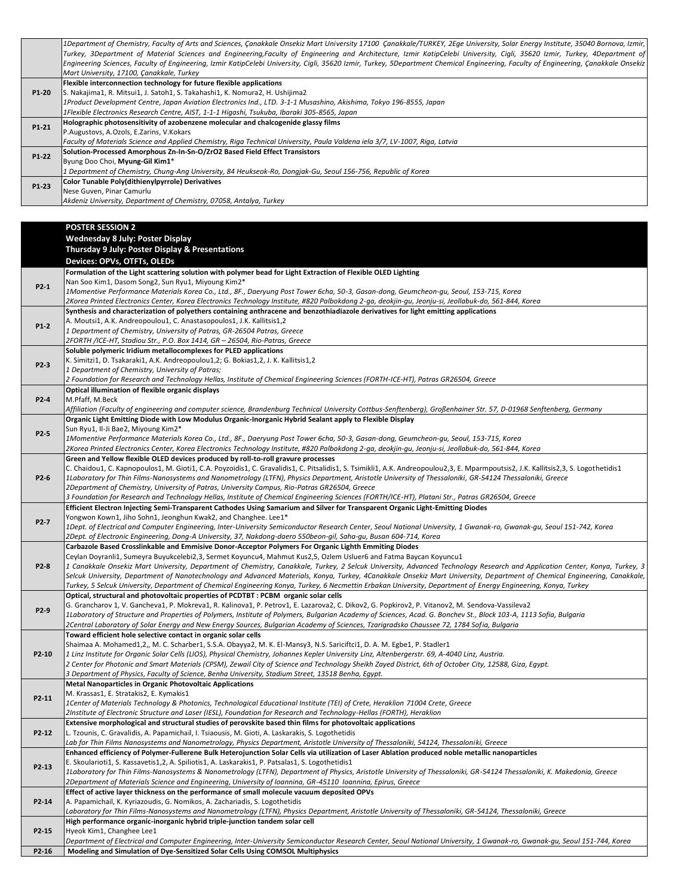|       | 1Department of Chemistry, Faculty of Arts and Sciences, Canakkale Onsekiz Mart University 17100 Canakkale/TURKEY, 2Ege University, Solar Energy Institute, 35040 Bornova, Izmir,    |
|-------|-------------------------------------------------------------------------------------------------------------------------------------------------------------------------------------|
|       | Turkey, 3Department of Material Sciences and Engineering,Faculty of Engineering and Architecture, Izmir KatipCelebi University, Cigli, 35620 Izmir, Turkey, 4Department of          |
|       | Engineering Sciences, Faculty of Engineering, Izmir KatipCelebi University, Cigli, 35620 Izmir, Turkey, 5Department Chemical Engineering, Faculty of Engineering, Canakkale Onsekiz |
|       | Mart University, 17100, Canakkale, Turkey                                                                                                                                           |
|       | Flexible interconnection technology for future flexible applications                                                                                                                |
| P1-20 | S. Nakajima1, R. Mitsui1, J. Satoh1, S. Takahashi1, K. Nomura2, H. Ushijima2                                                                                                        |
|       | 1Product Development Centre, Japan Aviation Electronics Ind., LTD. 3-1-1 Musashino, Akishima, Tokyo 196-8555, Japan                                                                 |
|       | 1Flexible Electronics Research Centre, AIST, 1-1-1 Higashi, Tsukuba, Ibaraki 305-8565, Japan                                                                                        |
| P1-21 | Holographic photosensitivity of azobenzene molecular and chalcogenide glassy films                                                                                                  |
|       | P.Augustovs, A.Ozols, E.Zarins, V.Kokars                                                                                                                                            |
|       | Faculty of Materials Science and Applied Chemistry, Riga Technical University, Paula Valdena iela 3/7, LV-1007, Riga, Latvia                                                        |
| P1-22 | Solution-Processed Amorphous Zn-In-Sn-O/ZrO2 Based Field Effect Transistors                                                                                                         |
|       | Byung Doo Choi, Myung-Gil Kim1*                                                                                                                                                     |
|       | 1 Department of Chemistry, Chung-Ang University, 84 Heukseok-Ro, Dongjak-Gu, Seoul 156-756, Republic of Korea                                                                       |
| P1-23 | Color Tunable Poly(dithienylpyrrole) Derivatives                                                                                                                                    |
|       | Nese Guven, Pinar Camurlu                                                                                                                                                           |
|       | Akdeniz University, Department of Chemistry, 07058, Antalya, Turkey                                                                                                                 |
|       |                                                                                                                                                                                     |

**POSTER SESSION 2**

|        | <b>Wednesday 8 July: Poster Display</b>                                                                                                                                                                 |
|--------|---------------------------------------------------------------------------------------------------------------------------------------------------------------------------------------------------------|
|        | Thursday 9 July: Poster Display & Presentations                                                                                                                                                         |
|        | Devices: OPVs, OTFTs, OLEDs                                                                                                                                                                             |
|        | Formulation of the Light scattering solution with polymer bead for Light Extraction of Flexible OLED Lighting                                                                                           |
|        | Nan Soo Kim1, Dasom Song2, Sun Ryu1, Miyoung Kim2*                                                                                                                                                      |
| $P2-1$ | 1Momentive Performance Materials Korea Co., Ltd., 8F., Daeryung Post Tower 6cha, 50-3, Gasan-dong, Geumcheon-qu, Seoul, 153-715, Korea                                                                  |
|        | 2Korea Printed Electronics Center, Korea Electronics Technology Institute, #820 Palbokdong 2-qa, deokjin-qu, Jeonju-si, Jeollabuk-do, 561-844, Korea                                                    |
|        | Synthesis and characterization of polyethers containing anthracene and benzothiadiazole derivatives for light emitting applications                                                                     |
|        | A. Moutsi1, A.K. Andreopoulou1, C. Anastasopoulos1, J.K. Kallitsis1,2                                                                                                                                   |
| $P1-2$ | 1 Department of Chemistry, University of Patras, GR-26504 Patras, Greece                                                                                                                                |
|        | 2FORTH /ICE-HT, Stadiou Str., P.O. Box 1414, GR - 26504, Rio-Patras, Greece                                                                                                                             |
|        | Soluble polymeric Iridium metallocomplexes for PLED applications                                                                                                                                        |
|        | K. Simitzi1, D. Tsakaraki1, A.K. Andreopoulou1,2; G. Bokias1,2, J. K. Kallitsis1,2                                                                                                                      |
| P2-3   | 1 Department of Chemistry, University of Patras;                                                                                                                                                        |
|        | 2 Foundation for Research and Technology Hellas, Institute of Chemical Engineering Sciences (FORTH-ICE-HT), Patras GR26504, Greece                                                                      |
|        | Optical illumination of flexible organic displays                                                                                                                                                       |
| P2-4   | M.Pfaff, M.Beck                                                                                                                                                                                         |
|        | Affiliation (Faculty of engineering and computer science, Brandenburg Technical University Cottbus-Senftenberg), Großenhainer Str. 57, D-01968 Senftenberg, Germany                                     |
|        | Organic Light Emitting Diode with Low Modulus Organic-Inorganic Hybrid Sealant apply to Flexible Display                                                                                                |
|        | Sun Ryu1, Il-Ji Bae2, Miyoung Kim2*                                                                                                                                                                     |
| P2-5   | 1Momentive Performance Materials Korea Co., Ltd., 8F., Daeryung Post Tower 6cha, 50-3, Gasan-dong, Geumcheon-qu, Seoul, 153-715, Korea                                                                  |
|        | 2Korea Printed Electronics Center, Korea Electronics Technology Institute, #820 Palbokdong 2-ga, deokjin-gu, Jeonju-si, Jeollabuk-do, 561-844, Korea                                                    |
|        | Green and Yellow flexible OLED devices produced by roll-to-roll gravure processes                                                                                                                       |
|        | C. Chaidou1, C. Kapnopoulos1, M. Gioti1, C.A. Poyzoidis1, C. Gravalidis1, C. Pitsalidis1, S. Tsimikli1, A.K. Andreopoulou2,3, E. Mparmpoutsis2, J.K. Kallitsis2,3, S. Logothetidis1                     |
| P2-6   | 1Laboratory for Thin Films-Nanosystems and Nanometrology (LTFN), Physics Department, Aristotle University of Thessaloniki, GR-54124 Thessaloniki, Greece                                                |
|        | 2Department of Chemistry, University of Patras, University Campus, Rio-Patras GR26504, Greece                                                                                                           |
|        | 3 Foundation for Research and Technology Hellas, Institute of Chemical Engineering Sciences (FORTH/ICE-HT), Platani Str., Patras GR26504, Greece                                                        |
|        | Efficient Electron Injecting Semi-Transparent Cathodes Using Samarium and Silver for Transparent Organic Light-Emitting Diodes                                                                          |
| P2-7   | Yongwon Kown1, Jiho Sohn1, Jeonghun Kwak2, and Changhee. Lee1*                                                                                                                                          |
|        | 1Dept. of Electrical and Computer Engineering, Inter-University Semiconductor Research Center, Seoul National University, 1 Gwanak-ro, Gwanak-gu, Seoul 151-742, Korea                                  |
|        | 2Dept. of Electronic Engineering, Dong-A University, 37, Nakdong-daero 550beon-gil, Saha-gu, Busan 604-714, Korea                                                                                       |
|        | Carbazole Based Crosslinkable and Emmisive Donor-Acceptor Polymers For Organic Lighth Emmiting Diodes                                                                                                   |
|        | Ceylan Doyranli1, Sumeyra Buyukcelebi2,3, Sermet Koyuncu4, Mahmut Kus2,5, Ozlem Usluer6 and Fatma Baycan Koyuncu1                                                                                       |
| P2-8   | 1 Canakkale Onsekiz Mart University, Department of Chemistry, Canakkale, Turkey, 2 Selcuk University, Advanced Technology Research and Application Center, Konya, Turkey, 3                             |
|        | Selcuk University, Department of Nanotechnology and Advanced Materials, Konya, Turkey, 4Canakkale Onsekiz Mart University, Department of Chemical Engineering, Canakkale,                               |
|        | Turkey, 5 Selcuk University, Department of Chemical Engineering Konya, Turkey, 6 Necmettin Erbakan University, Department of Energy Engineering, Konya, Turkey                                          |
|        | Optical, structural and photovoltaic properties of PCDTBT : PCBM organic solar cells                                                                                                                    |
| P2-9   | G. Grancharov 1, V. Gancheva1, P. Mokreva1, R. Kalinova1, P. Petrov1, E. Lazarova2, C. Dikov2, G. Popkirov2, P. Vitanov2, M. Sendova-Vassileva2                                                         |
|        | 1Laboratory of Structure and Properties of Polymers, Institute of Polymers, Bulgarian Academy of Sciences, Acad. G. Bonchev St., Block 103-A, 1113 Sofia, Bulgaria                                      |
|        |                                                                                                                                                                                                         |
|        | 2Central Laboratory of Solar Energy and New Energy Sources, Bulgarian Academy of Sciences, Tzarigradsko Chaussee 72, 1784 Sofia, Bulgaria                                                               |
|        | Toward efficient hole selective contact in organic solar cells                                                                                                                                          |
|        | Shaimaa A. Mohamed1,2,, M. C. Scharber1, S.S.A. Obayya2, M. K. El-Mansy3, N.S. Sariciftci1, D. A. M. Egbe1, P. Stadler1                                                                                 |
| P2-10  | 1 Linz Institute for Organic Solar Cells (LIOS), Physical Chemistry, Johannes Kepler University Linz, Altenbergerstr. 69, A-4040 Linz, Austria.                                                         |
|        | 2 Center for Photonic and Smart Materials (CPSM), Zewail City of Science and Technology Sheikh Zayed District, 6th of October City, 12588, Giza, Egypt.                                                 |
|        | 3 Department of Physics, Faculty of Science, Benha University, Stadium Street, 13518 Benha, Egypt.                                                                                                      |
|        | <b>Metal Nanoparticles in Organic Photovoltaic Applications</b>                                                                                                                                         |
| P2-11  | M. Krassas1, E. Stratakis2, E. Kymakis1                                                                                                                                                                 |
|        | 1Center of Materials Technology & Photonics, Technological Educational Institute (TEI) of Crete, Heraklion 71004 Crete, Greece                                                                          |
|        | 2Institute of Electronic Structure and Laser (IESL), Foundation for Research and Technology-Hellas (FORTH), Heraklion                                                                                   |
|        | Extensive morphological and structural studies of perovskite based thin films for photovoltaic applications                                                                                             |
| P2-12  | L. Tzounis, C. Gravalidis, A. Papamichail, I. Tsiaousis, M. Gioti, A. Laskarakis, S. Logothetidis                                                                                                       |
|        | Lab for Thin Films Nanosystems and Nanometrology, Physics Department, Aristotle University of Thessaloniki, 54124, Thessaloniki, Greece                                                                 |
|        | Enhanced efficiency of Polymer-Fullerene Bulk Heterojunction Solar Cells via utilization of Laser Ablation produced noble metallic nanoparticles                                                        |
| P2-13  | E. Skoularioti1, S. Kassavetis1,2, A. Spiliotis1, A. Laskarakis1, P. Patsalas1, S. Logothetidis1                                                                                                        |
|        | 1Laboratory for Thin Films-Nanosystems & Nanometrology (LTFN), Department of Physics, Aristotle University of Thessaloniki, GR-54124 Thessaloniki, K. Makedonia, Greece                                 |
|        | 2Department of Materials Science and Engineering, University of Ioannina, GR-45110 Ioannina, Epirus, Greece                                                                                             |
|        | Effect of active layer thickness on the performance of small molecule vacuum deposited OPVs                                                                                                             |
| P2-14  | A. Papamichail, K. Kyriazoudis, G. Nomikos, A. Zachariadis, S. Logothetidis                                                                                                                             |
|        | Laboratory for Thin Films-Nanosystems and Nanometrology (LTFN), Physics Department, Aristotle University of Thessaloniki, GR-54124, Thessaloniki, Greece                                                |
|        | High performance organic-inorganic hybrid triple-junction tandem solar cell                                                                                                                             |
| P2-15  | Hyeok Kim1, Changhee Lee1<br>Department of Electrical and Computer Engineering, Inter-University Semiconductor Research Center, Seoul National University, 1 Gwanak-ro, Gwanak-qu, Seoul 151-744, Korea |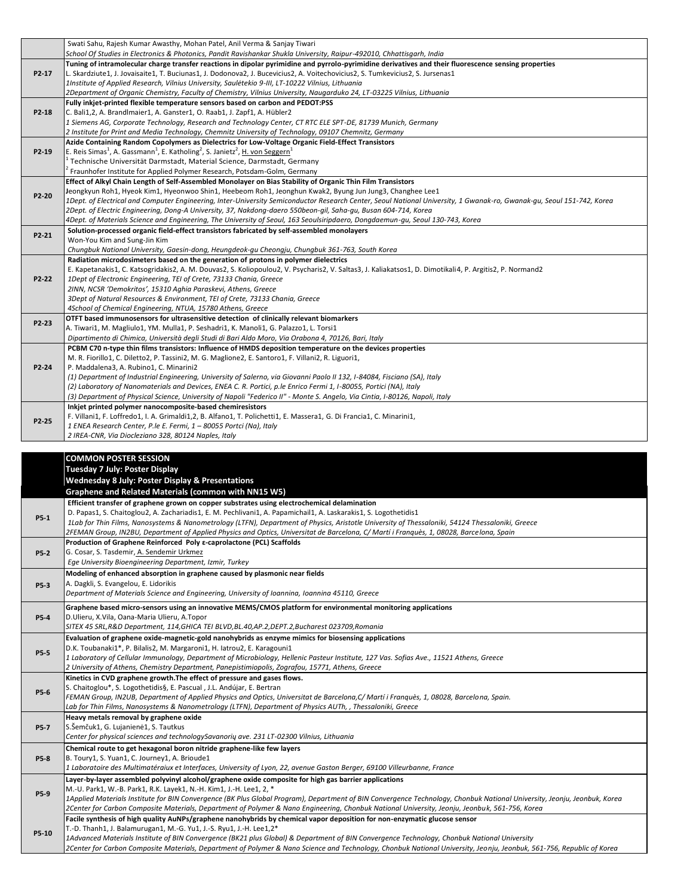|             | Swati Sahu, Rajesh Kumar Awasthy, Mohan Patel, Anil Verma & Sanjay Tiwari                                                                                                               |
|-------------|-----------------------------------------------------------------------------------------------------------------------------------------------------------------------------------------|
|             | School Of Studies in Electronics & Photonics, Pandit Ravishankar Shukla University, Raipur-492010, Chhattisgarh, India                                                                  |
|             | Tuning of intramolecular charge transfer reactions in dipolar pyrimidine and pyrrolo-pyrimidine derivatives and their fluorescence sensing properties                                   |
| P2-17       | L. Skardziute1, J. Jovaisaite1, T. Buciunas1, J. Dodonova2, J. Bucevicius2, A. Voitechovicius2, S. Tumkevicius2, S. Jursenas1                                                           |
|             | 1Institute of Applied Research, Vilnius University, Sauletekio 9-III, LT-10222 Vilnius, Lithuania                                                                                       |
|             | 2Department of Organic Chemistry, Faculty of Chemistry, Vilnius University, Naugarduko 24, LT-03225 Vilnius, Lithuania                                                                  |
|             | Fully inkjet-printed flexible temperature sensors based on carbon and PEDOT:PSS                                                                                                         |
| P2-18       | C. Bali1,2, A. Brandlmaier1, A. Ganster1, O. Raab1, J. Zapf1, A. Hübler2                                                                                                                |
|             | 1 Siemens AG, Corporate Technology, Research and Technology Center, CT RTC ELE SPT-DE, 81739 Munich, Germany                                                                            |
|             | 2 Institute for Print and Media Technology, Chemnitz University of Technology, 09107 Chemnitz, Germany                                                                                  |
|             | Azide Containing Random Copolymers as Dielectrics for Low-Voltage Organic Field-Effect Transistors                                                                                      |
| P2-19       | E. Reis Simas <sup>1</sup> , A. Gassmann <sup>1</sup> , E. Katholing <sup>2</sup> , S. Janietz <sup>2</sup> , H. von Seggern <sup>1</sup>                                               |
|             | Technische Universität Darmstadt, Material Science, Darmstadt, Germany                                                                                                                  |
|             | Fraunhofer Institute for Applied Polymer Research, Potsdam-Golm, Germany<br>Effect of Alkyl Chain Length of Self-Assembled Monolayer on Bias Stability of Organic Thin Film Transistors |
|             | Jeongkyun Roh1, Hyeok Kim1, Hyeonwoo Shin1, Heebeom Roh1, Jeonghun Kwak2, Byung Jun Jung3, Changhee Lee1                                                                                |
| P2-20       | 1Dept. of Electrical and Computer Engineering, Inter-University Semiconductor Research Center, Seoul National University, 1 Gwanak-ro, Gwanak-gu, Seoul 151-742, Korea                  |
|             | 2Dept. of Electric Engineering, Dong-A University, 37, Nakdong-daero 550beon-gil, Saha-gu, Busan 604-714, Korea                                                                         |
|             | 4Dept. of Materials Science and Engineering, The University of Seoul, 163 Seoulsiripdaero, Dongdaemun-gu, Seoul 130-743, Korea                                                          |
|             | Solution-processed organic field-effect transistors fabricated by self-assembled monolayers                                                                                             |
| P2-21       | Won-You Kim and Sung-Jin Kim                                                                                                                                                            |
|             | Chungbuk National University, Gaesin-dong, Heungdeok-gu Cheongju, Chungbuk 361-763, South Korea                                                                                         |
|             | Radiation microdosimeters based on the generation of protons in polymer dielectrics                                                                                                     |
|             | E. Kapetanakis1, C. Katsogridakis2, A. M. Douvas2, S. Koliopoulou2, V. Psycharis2, V. Saltas3, J. Kaliakatsos1, D. Dimotikali4, P. Argitis2, P. Normand2                                |
| P2-22       | 1Dept of Electronic Engineering, TEI of Crete, 73133 Chania, Greece                                                                                                                     |
|             | 2INN, NCSR 'Demokritos', 15310 Aghia Paraskevi, Athens, Greece                                                                                                                          |
|             | 3Dept of Natural Resources & Environment, TEI of Crete, 73133 Chania, Greece                                                                                                            |
|             | 4School of Chemical Engineering, NTUA, 15780 Athens, Greece                                                                                                                             |
| P2-23       | OTFT based immunosensors for ultrasensitive detection of clinically relevant biomarkers                                                                                                 |
|             | A. Tiwari1, M. Magliulo1, YM. Mulla1, P. Seshadri1, K. Manoli1, G. Palazzo1, L. Torsi1                                                                                                  |
|             | Dipartimento di Chimica, Università degli Studi di Bari Aldo Moro, Via Orabona 4, 70126, Bari, Italy                                                                                    |
|             | PCBM C70 n-type thin films transistors: Influence of HMDS deposition temperature on the devices properties                                                                              |
| P2-24       | M. R. Fiorillo1, C. Diletto2, P. Tassini2, M. G. Maglione2, E. Santoro1, F. Villani2, R. Liguori1,                                                                                      |
|             | P. Maddalena3, A. Rubino1, C. Minarini2<br>(1) Department of Industrial Engineering, University of Salerno, via Giovanni Paolo II 132, I-84084, Fisciano (SA), Italy                    |
|             | (2) Laboratory of Nanomaterials and Devices, ENEA C. R. Portici, p.le Enrico Fermi 1, I-80055, Portici (NA), Italy                                                                      |
|             | (3) Department of Physical Science, University of Napoli "Federico II" - Monte S. Angelo, Via Cintia, I-80126, Napoli, Italy                                                            |
|             | Inkjet printed polymer nanocomposite-based chemiresistors                                                                                                                               |
|             | F. Villani1, F. Loffredo1, I. A. Grimaldi1,2, B. Alfano1, T. Polichetti1, E. Massera1, G. Di Francia1, C. Minarini1,                                                                    |
| P2-25       | 1 ENEA Research Center, P.le E. Fermi, 1 - 80055 Portci (Na), Italy                                                                                                                     |
|             | 2 IREA-CNR, Via Diocleziano 328, 80124 Naples, Italy                                                                                                                                    |
|             |                                                                                                                                                                                         |
|             | <b>COMMON POSTER SESSION</b>                                                                                                                                                            |
|             | <b>Tuesday 7 July: Poster Display</b>                                                                                                                                                   |
|             | <b>Wednesday 8 July: Poster Display &amp; Presentations</b>                                                                                                                             |
|             | Graphene and Related Materials (common with NN15 W5)                                                                                                                                    |
|             | Efficient transfer of graphene grown on copper substrates using electrochemical delamination                                                                                            |
|             | D. Papas1, S. Chaitoglou2, A. Zachariadis1, E. M. Pechlivani1, A. Papamichail1, A. Laskarakis1, S. Logothetidis1                                                                        |
| P5-1        | 1Lab for Thin Films, Nanosystems & Nanometrology (LTFN), Department of Physics, Aristotle University of Thessaloniki, 54124 Thessaloniki, Greece                                        |
|             | 2FEMAN Group, IN2BU, Department of Applied Physics and Optics, Universitat de Barcelona, C/ Martí i Franquès, 1, 08028, Barcelona, Spain                                                |
|             | Production of Graphene Reinforced Poly E-caprolactone (PCL) Scaffolds                                                                                                                   |
| <b>P5-2</b> | G. Cosar, S. Tasdemir, A. Sendemir Urkmez                                                                                                                                               |
|             | Ege University Bioengineering Department, Izmir, Turkey                                                                                                                                 |
|             | Modeling of enhanced absorption in graphene caused by plasmonic near fields                                                                                                             |
| P5-3        | A. Dagkli, S. Evangelou, E. Lidorikis                                                                                                                                                   |
|             | Department of Materials Science and Engineering, University of Ioannina, Ioannina 45110, Greece                                                                                         |
|             | Graphene based micro-sensors using an innovative MEMS/CMOS platform for environmental monitoring applications                                                                           |
| P5-4        | D.Ulieru, X.Vila, Oana-Maria Ulieru, A.Topor                                                                                                                                            |
|             | SITEX 45 SRL, R&D Department, 114, GHICA TEI BLVD, BL.40, AP.2, DEPT.2, Bucharest 023709, Romania                                                                                       |
|             | Evaluation of graphene oxide-magnetic-gold nanohybrids as enzyme mimics for biosensing applications                                                                                     |

*1 Laboratory of Cellular Immunology, Department of Microbiology, Hellenic Pasteur Institute, 127 Vas. Sofias Ave., 11521 Athens, Greece 2 University of Athens, Chemistry Department, Panepistimiopolis, Zografou, 15771, Athens, Greece* **P5-6 Kinetics in CVD graphene growth.The effect of pressure and gases flows.** S. Chaitoglou\*, S. Logothetidis§, E. Pascual , J.L. Andújar, E. Bertran *FEMAN Group, IN2UB, Department of Applied Physics and Optics, Universitat de Barcelona,C/ Martí i Franquès, 1, 08028, Barcelona, Spain. Lab for Thin Films, Nanosystems & Nanometrology (LTFN), Department of Physics AUTh, , Thessaloniki, Greece*

**P5-7 Heavy metals removal by graphene oxide** S.Šemčuk1, G. Lujanienė1, S. Tautkus *Center for physical sciences and technologySavanorių ave. 231 LT-02300 Vilnius, Lithuania* **P5-8 Chemical route to get hexagonal boron nitride graphene-like few layers** B. Toury1, S. Yuan1, C. Journey1, A. Brioude1 *1 Laboratoire des Multimatéraiux et Interfaces, University of Lyon, 22, avenue Gaston Berger, 69100 Villeurbanne, France* 

**Layer-by-layer assembled polyvinyl alcohol/graphene oxide composite for high gas barrier applications**

M.-U. Park1, W.-B. Park1, R.K. Layek1, N.-H. Kim1, J.-H. Lee1, 2, \*

D.K. Toubanaki1\*, P. Bilalis2, M. Margaroni1, H. Iatrou2, E. Karagouni1

**P5-5**

**P5-9** *1Applied Materials Institute for BIN Convergence (BK Plus Global Program), Department of BIN Convergence Technology, Chonbuk National University, Jeonju, Jeonbuk, Korea 2Center for Carbon Composite Materials, Department of Polymer & Nano Engineering, Chonbuk National University, Jeonju, Jeonbuk, 561-756, Korea* **Facile synthesis of high quality AuNPs/graphene nanohybrids by chemical vapor deposition for non-enzymatic glucose sensor**

T.-D. Thanh1, J. Balamurugan1, M.-G. Yu1, J.-S. Ryu1, J.-H. Lee1,2\*

**P5-10** *1Advanced Materials Institute of BIN Convergence (BK21 plus Global) & Department of BIN Convergence Technology, Chonbuk National University*

*2Center for Carbon Composite Materials, Department of Polymer & Nano Science and Technology, Chonbuk National University, Jeonju, Jeonbuk, 561-756, Republic of Korea*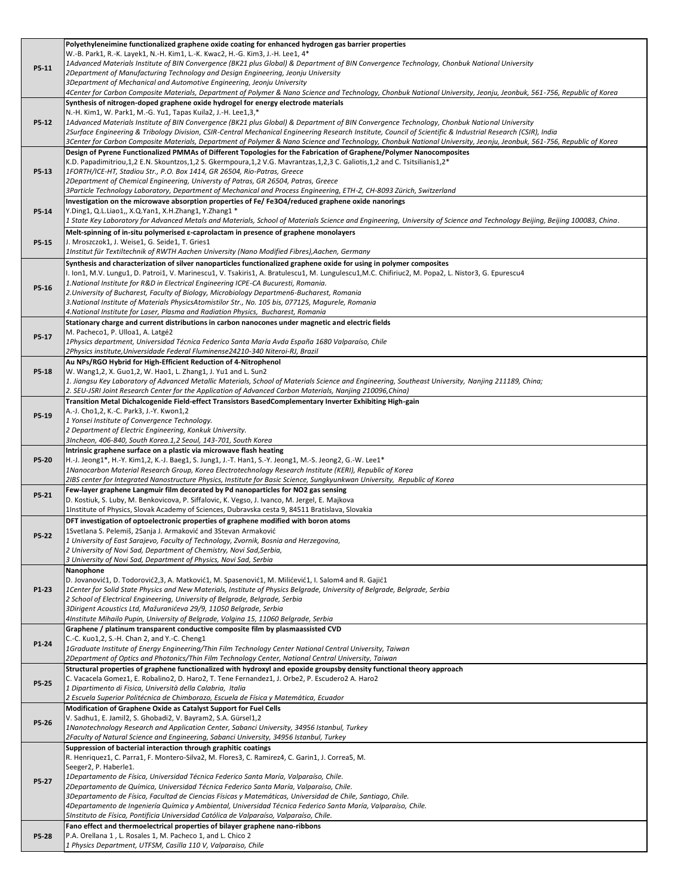|       | Polyethyleneimine functionalized graphene oxide coating for enhanced hydrogen gas barrier properties                                                                                                                                                                       |
|-------|----------------------------------------------------------------------------------------------------------------------------------------------------------------------------------------------------------------------------------------------------------------------------|
|       | W.-B. Park1, R.-K. Layek1, N.-H. Kim1, L.-K. Kwac2, H.-G. Kim3, J.-H. Lee1, 4*                                                                                                                                                                                             |
| P5-11 | 1Advanced Materials Institute of BIN Convergence (BK21 plus Global) & Department of BIN Convergence Technology, Chonbuk National University<br>2Department of Manufacturing Technology and Design Engineering, Jeonju University                                           |
|       | 3Department of Mechanical and Automotive Engineering, Jeonju University                                                                                                                                                                                                    |
|       | 4Center for Carbon Composite Materials, Department of Polymer & Nano Science and Technology, Chonbuk National University, Jeonju, Jeonbuk, 561-756, Republic of Korea                                                                                                      |
|       | Synthesis of nitrogen-doped graphene oxide hydrogel for energy electrode materials                                                                                                                                                                                         |
|       | N.-H. Kim1, W. Park1, M.-G. Yu1, Tapas Kuila2, J.-H. Lee1,3,*                                                                                                                                                                                                              |
| P5-12 | 1Advanced Materials Institute of BIN Convergence (BK21 plus Global) & Department of BIN Convergence Technology, Chonbuk National University                                                                                                                                |
|       | 2Surface Engineering & Tribology Division, CSIR-Central Mechanical Engineering Research Institute, Council of Scientific & Industrial Research (CSIR), India                                                                                                               |
|       | 3Center for Carbon Composite Materials, Department of Polymer & Nano Science and Technology, Chonbuk National University, Jeonju, Jeonbuk, 561-756, Republic of Korea                                                                                                      |
|       | Design of Pyrene Functionalized PMMAs of Different Topologies for the Fabrication of Graphene/Polymer Nanocomposites<br>K.D. Papadimitriou,1,2 E.N. Skountzos,1,2 S. Gkermpoura,1,2 V.G. Mavrantzas,1,2,3 C. Galiotis,1,2 and C. Tsitsilianis1,2*                          |
| P5-13 | 1FORTH/ICE-HT, Stadiou Str., P.O. Box 1414, GR 26504, Rio-Patras, Greece                                                                                                                                                                                                   |
|       | 2Department of Chemical Engineering, Universty of Patras, GR 26504, Patras, Greece                                                                                                                                                                                         |
|       | 3Particle Technology Laboratory, Department of Mechanical and Process Engineering, ETH-Z, CH-8093 Zürich, Switzerland                                                                                                                                                      |
|       | Investigation on the microwave absorption properties of Fe/ Fe3O4/reduced graphene oxide nanorings                                                                                                                                                                         |
| P5-14 | Y.Ding1, Q.L.Liao1,, X.Q.Yan1, X.H.Zhang1, Y.Zhang1 *                                                                                                                                                                                                                      |
|       | 1 State Key Laboratory for Advanced Metals and Materials, School of Materials Science and Engineering, University of Science and Technology Beijing, Beijing 100083, China.                                                                                                |
|       | Melt-spinning of in-situ polymerised $\varepsilon$ -caprolactam in presence of graphene monolayers                                                                                                                                                                         |
| P5-15 | J. Mroszczok1, J. Weise1, G. Seide1, T. Gries1                                                                                                                                                                                                                             |
|       | 1Institut für Textiltechnik of RWTH Aachen University (Nano Modified Fibres), Aachen, Germany                                                                                                                                                                              |
|       | Synthesis and characterization of silver nanoparticles functionalized graphene oxide for using in polymer composites<br>I. Ion1, M.V. Lungu1, D. Patroi1, V. Marinescu1, V. Tsakiris1, A. Bratulescu1, M. Lungulescu1, M.C. Chifiriuc2, M. Popa2, L. Nistor3, G. Epurescu4 |
|       | 1. National Institute for R&D in Electrical Engineering ICPE-CA Bucuresti, Romania.                                                                                                                                                                                        |
| P5-16 | 2. University of Bucharest, Faculty of Biology, Microbiology Departmen6-Bucharest, Romania                                                                                                                                                                                 |
|       | 3. National Institute of Materials PhysicsAtomistilor Str., No. 105 bis, 077125, Magurele, Romania                                                                                                                                                                         |
|       | 4.National Institute for Laser, Plasma and Radiation Physics,  Bucharest, Romania                                                                                                                                                                                          |
|       | Stationary charge and current distributions in carbon nanocones under magnetic and electric fields                                                                                                                                                                         |
| P5-17 | M. Pacheco1, P. Ulloa1, A. Latgé2                                                                                                                                                                                                                                          |
|       | 1Physics department, Universidad Técnica Federico Santa María Avda España 1680 Valparaíso, Chile                                                                                                                                                                           |
|       | 2Physics institute, Universidade Federal Fluminense24210-340 Niteroi-RJ, Brazil<br>Au NPs/RGO Hybrid for High-Efficient Reduction of 4-Nitrophenol                                                                                                                         |
| P5-18 | W. Wang1,2, X. Guo1,2, W. Hao1, L. Zhang1, J. Yu1 and L. Sun2                                                                                                                                                                                                              |
|       | 1. Jiangsu Key Laboratory of Advanced Metallic Materials, School of Materials Science and Engineering, Southeast University, Nanjing 211189, China;                                                                                                                        |
|       | 2. SEU-JSRI Joint Research Center for the Application of Advanced Carbon Materials, Nanjing 210096, China)                                                                                                                                                                 |
|       | Transition Metal Dichalcogenide Field-effect Transistors BasedComplementary Inverter Exhibiting High-gain                                                                                                                                                                  |
| P5-19 | A.-J. Cho1,2, K.-C. Park3, J.-Y. Kwon1,2                                                                                                                                                                                                                                   |
|       | 1 Yonsei Institute of Convergence Technology.                                                                                                                                                                                                                              |
|       | 2 Department of Electric Engineering, Konkuk University.                                                                                                                                                                                                                   |
|       | 3Incheon, 406-840, South Korea.1,2 Seoul, 143-701, South Korea                                                                                                                                                                                                             |
|       |                                                                                                                                                                                                                                                                            |
|       | Intrinsic graphene surface on a plastic via microwave flash heating                                                                                                                                                                                                        |
| P5-20 | H.-J. Jeong1*, H.-Y. Kim1,2, K.-J. Baeg1, S. Jung1, J.-T. Han1, S.-Y. Jeong1, M.-S. Jeong2, G.-W. Lee1*<br>1Nanocarbon Material Research Group, Korea Electrotechnology Research Institute (KERI), Republic of Korea                                                       |
|       | 2IBS center for Integrated Nanostructure Physics, Institute for Basic Science, Sungkyunkwan University, Republic of Korea                                                                                                                                                  |
|       | Few-layer graphene Langmuir film decorated by Pd nanoparticles for NO2 gas sensing                                                                                                                                                                                         |
| P5-21 | D. Kostiuk, S. Luby, M. Benkovicova, P. Siffalovic, K. Vegso, J. Ivanco, M. Jergel, E. Majkova                                                                                                                                                                             |
|       | 1Institute of Physics, Slovak Academy of Sciences, Dubravska cesta 9, 84511 Bratislava, Slovakia                                                                                                                                                                           |
|       | DFT investigation of optoelectronic properties of graphene modified with boron atoms                                                                                                                                                                                       |
| P5-22 | 1Svetlana S. Pelemiš, 2Sanja J. Armaković and 3Stevan Armaković                                                                                                                                                                                                            |
|       | 1 University of East Sarajevo, Faculty of Technology, Zvornik, Bosnia and Herzegovina,                                                                                                                                                                                     |
|       | 2 University of Novi Sad, Department of Chemistry, Novi Sad,Serbia,<br>3 University of Novi Sad, Department of Physics, Novi Sad, Serbia                                                                                                                                   |
|       | Nanophone                                                                                                                                                                                                                                                                  |
|       | D. Jovanović1, D. Todorović2,3, A. Matković1, M. Spasenović1, M. Milićević1, I. Salom4 and R. Gajić1                                                                                                                                                                       |
| P1-23 | 1Center for Solid State Physics and New Materials, Institute of Physics Belgrade, University of Belgrade, Belgrade, Serbia                                                                                                                                                 |
|       | 2 School of Electrical Engineering, University of Belgrade, Belgrade, Serbia                                                                                                                                                                                               |
|       | 3Dirigent Acoustics Ltd, Mažuranićeva 29/9, 11050 Belgrade, Serbia                                                                                                                                                                                                         |
|       | 4Institute Mihailo Pupin, University of Belgrade, Volgina 15, 11060 Belgrade, Serbia                                                                                                                                                                                       |
|       | Graphene / platinum transparent conductive composite film by plasmaassisted CVD<br>C.-C. Kuo1,2, S.-H. Chan 2, and Y.-C. Cheng1                                                                                                                                            |
| P1-24 | 1Graduate Institute of Energy Engineering/Thin Film Technology Center National Central University, Taiwan                                                                                                                                                                  |
|       | 2Department of Optics and Photonics/Thin Film Technology Center, National Central University, Taiwan                                                                                                                                                                       |
|       | Structural properties of graphene functionalized with hydroxyl and epoxide groupsby density functional theory approach                                                                                                                                                     |
| P5-25 | C. Vacacela Gomez1, E. Robalino2, D. Haro2, T. Tene Fernandez1, J. Orbe2, P. Escudero2 A. Haro2                                                                                                                                                                            |
|       | 1 Dipartimento di Fisica, Università della Calabria, Italia                                                                                                                                                                                                                |
|       | 2 Escuela Superior Politécnica de Chimborazo, Escuela de Física y Matemática, Ecuador                                                                                                                                                                                      |
|       | Modification of Graphene Oxide as Catalyst Support for Fuel Cells                                                                                                                                                                                                          |
| P5-26 | V. Sadhu1, E. Jamil2, S. Ghobadi2, V. Bayram2, S.A. Gürsel1,2<br>1Nanotechnology Research and Application Center, Sabanci University, 34956 Istanbul, Turkey                                                                                                               |
|       | 2Faculty of Natural Science and Engineering, Sabanci University, 34956 Istanbul, Turkey                                                                                                                                                                                    |
|       | Suppression of bacterial interaction through graphitic coatings                                                                                                                                                                                                            |
|       | R. Henriquez1, C. Parra1, F. Montero-Silva2, M. Flores3, C. Ramirez4, C. Garin1, J. Correa5, M.                                                                                                                                                                            |
|       | Seeger2, P. Haberle1.                                                                                                                                                                                                                                                      |
| P5-27 | 1Departamento de Física, Universidad Técnica Federico Santa María, Valparaíso, Chile.                                                                                                                                                                                      |
|       | 2Departamento de Química, Universidad Técnica Federico Santa María, Valparaíso, Chile.<br>3Departamento de Física, Facultad de Ciencias Físicas y Matemáticas, Universidad de Chile, Santiago, Chile.                                                                      |
|       | 4Departamento de Ingeniería Química y Ambiental, Universidad Técnica Federico Santa María, Valparaíso, Chile.                                                                                                                                                              |
|       | 5Instituto de Física, Pontificia Universidad Católica de Valparaíso, Valparaíso, Chile.                                                                                                                                                                                    |
|       | Fano effect and thermoelectrical properties of bilayer graphene nano-ribbons                                                                                                                                                                                               |
| P5-28 | P.A. Orellana 1, L. Rosales 1, M. Pacheco 1, and L. Chico 2<br>1 Physics Department, UTFSM, Casilla 110 V, Valparaiso, Chile                                                                                                                                               |